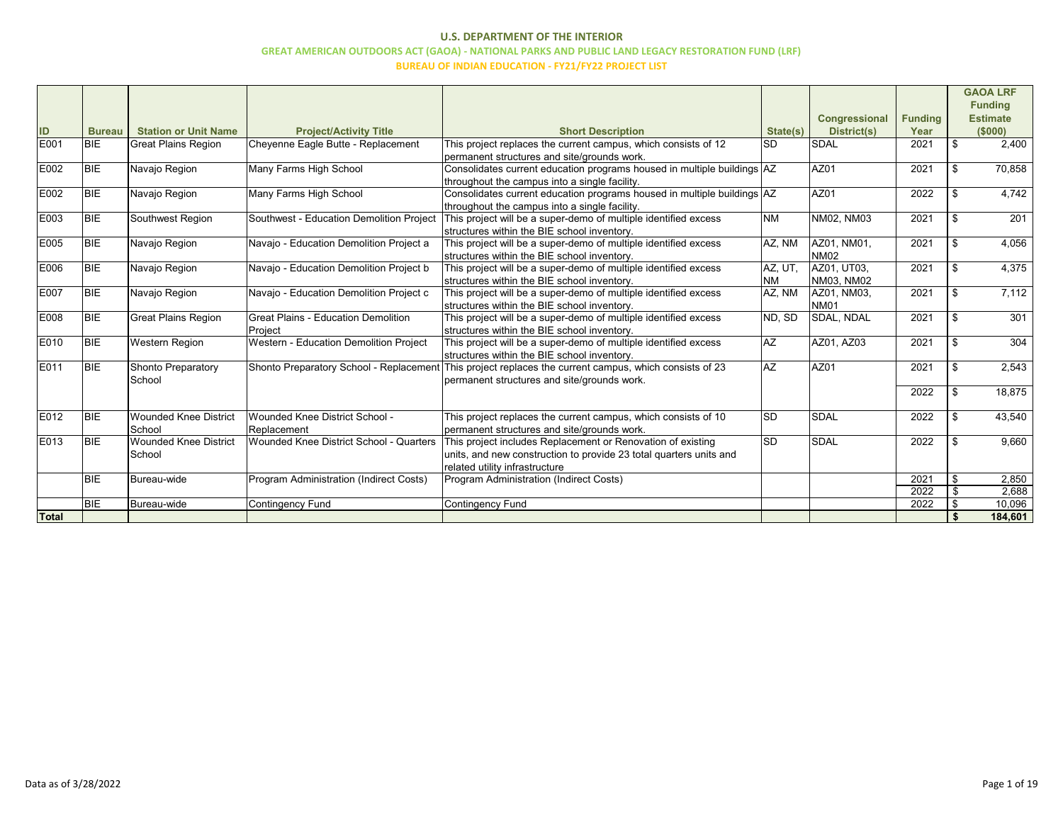|              |               |                                        |                                                       |                                                                                                                                                                     |                        | Congressional              | <b>Funding</b> |                | <b>GAOA LRF</b><br><b>Funding</b><br><b>Estimate</b> |
|--------------|---------------|----------------------------------------|-------------------------------------------------------|---------------------------------------------------------------------------------------------------------------------------------------------------------------------|------------------------|----------------------------|----------------|----------------|------------------------------------------------------|
| ID           | <b>Bureau</b> | <b>Station or Unit Name</b>            | <b>Project/Activity Title</b>                         | <b>Short Description</b>                                                                                                                                            | State(s)               | District(s)                | Year           |                | (S000)                                               |
| E001         | <b>BIE</b>    | <b>Great Plains Region</b>             | Cheyenne Eagle Butte - Replacement                    | This project replaces the current campus, which consists of 12<br>permanent structures and site/grounds work.                                                       | <b>SD</b>              | SDAL                       | 2021           | $\mathfrak{S}$ | 2,400                                                |
| E002         | BIE           | Navajo Region                          | Many Farms High School                                | Consolidates current education programs housed in multiple buildings AZ<br>throughout the campus into a single facility.                                            |                        | AZ01                       | 2021           | $\$\$          | 70,858                                               |
| E002         | <b>BIE</b>    | Navajo Region                          | Many Farms High School                                | Consolidates current education programs housed in multiple buildings AZ<br>throughout the campus into a single facility.                                            |                        | AZ01                       | 2022           | $\mathfrak{S}$ | 4,742                                                |
| E003         | <b>BIE</b>    | Southwest Region                       | Southwest - Education Demolition Project              | This project will be a super-demo of multiple identified excess<br>structures within the BIE school inventory.                                                      | <b>NM</b>              | NM02, NM03                 | 2021           | \$             | $\overline{201}$                                     |
| E005         | <b>BIE</b>    | Navajo Region                          | Navajo - Education Demolition Project a               | This project will be a super-demo of multiple identified excess<br>structures within the BIE school inventory.                                                      | AZ, NM                 | AZ01, NM01,<br><b>NM02</b> | 2021           | $\mathfrak{S}$ | 4,056                                                |
| E006         | <b>BIE</b>    | Navajo Region                          | Navajo - Education Demolition Project b               | This project will be a super-demo of multiple identified excess<br>structures within the BIE school inventory.                                                      | AZ, UT.<br><b>NM</b>   | AZ01, UT03,<br>NM03, NM02  | 2021           | \$             | 4,375                                                |
| E007         | <b>BIE</b>    | Navajo Region                          | Navajo - Education Demolition Project c               | This project will be a super-demo of multiple identified excess<br>structures within the BIE school inventory.                                                      | AZ, NM                 | AZ01, NM03,<br><b>NM01</b> | 2021           | \$             | 7,112                                                |
| E008         | <b>BIE</b>    | <b>Great Plains Region</b>             | <b>Great Plains - Education Demolition</b><br>Project | This project will be a super-demo of multiple identified excess<br>structures within the BIE school inventory.                                                      | ND, SD                 | SDAL, NDAL                 | 2021           | \$             | 301                                                  |
| E010         | <b>BIE</b>    | <b>Western Region</b>                  | Western - Education Demolition Project                | This project will be a super-demo of multiple identified excess<br>structures within the BIE school inventory.                                                      | $\overline{AZ}$        | AZ01, AZ03                 | 2021           | \$             | 304                                                  |
| E011         | <b>BIE</b>    | Shonto Preparatory<br>School           | Shonto Preparatory School - Replacement               | This project replaces the current campus, which consists of 23<br>permanent structures and site/grounds work.                                                       | $\overline{AZ}$        | AZ01                       | 2021           | \$             | 2,543                                                |
|              |               |                                        |                                                       |                                                                                                                                                                     |                        |                            | 2022           | \$             | 18,875                                               |
| E012         | <b>BIE</b>    | <b>Wounded Knee District</b><br>School | Wounded Knee District School -<br>Replacement         | This project replaces the current campus, which consists of 10<br>permanent structures and site/grounds work.                                                       | <b>SD</b>              | SDAL                       | 2022           | \$             | 43,540                                               |
| E013         | <b>BIE</b>    | <b>Wounded Knee District</b><br>School | Wounded Knee District School - Quarters               | This project includes Replacement or Renovation of existing<br>units, and new construction to provide 23 total quarters units and<br>related utility infrastructure | $\overline{\text{SD}}$ | <b>SDAL</b>                | 2022           | \$             | 9,660                                                |
|              | <b>BIE</b>    | Bureau-wide                            | Program Administration (Indirect Costs)               | Program Administration (Indirect Costs)                                                                                                                             |                        |                            | 2021           | $\mathfrak{S}$ | 2,850                                                |
|              |               |                                        |                                                       |                                                                                                                                                                     |                        |                            | 2022           | \$             | 2,688                                                |
|              | <b>BIE</b>    | Bureau-wide                            | <b>Contingency Fund</b>                               | Contingency Fund                                                                                                                                                    |                        |                            | 2022           | \$             | 10,096                                               |
| <b>Total</b> |               |                                        |                                                       |                                                                                                                                                                     |                        |                            |                |                | 184,601                                              |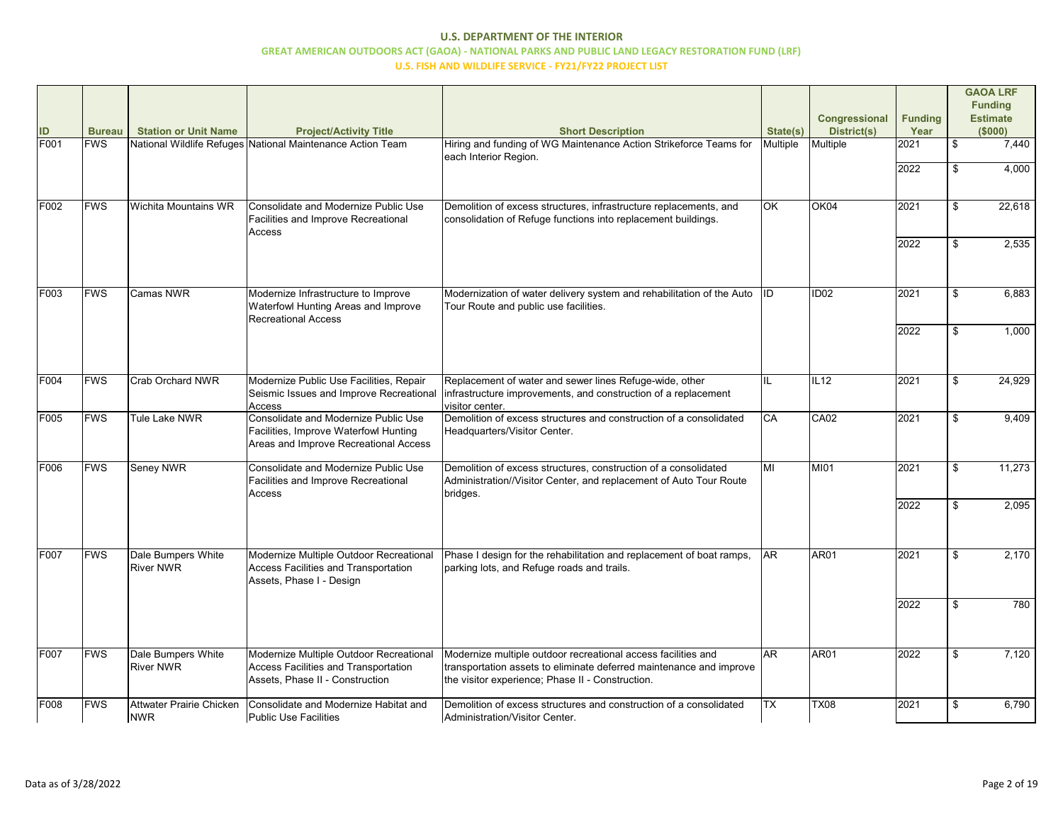| ID<br>F001  | <b>Bureau</b><br><b>FWS</b> | <b>Station or Unit Name</b>            | <b>Project/Activity Title</b><br>National Wildlife Refuges National Maintenance Action Team                                   | <b>Short Description</b><br>Hiring and funding of WG Maintenance Action Strikeforce Teams for                                                                                            | State(s)<br>Multiple | <b>Congressional</b><br><b>District(s)</b><br>Multiple | <b>Funding</b><br>Year<br>2021 | \$<br><b>GAOA LRF</b><br><b>Funding</b><br><b>Estimate</b><br>(\$000)<br>7,440 |
|-------------|-----------------------------|----------------------------------------|-------------------------------------------------------------------------------------------------------------------------------|------------------------------------------------------------------------------------------------------------------------------------------------------------------------------------------|----------------------|--------------------------------------------------------|--------------------------------|--------------------------------------------------------------------------------|
|             |                             |                                        |                                                                                                                               | each Interior Region.                                                                                                                                                                    |                      |                                                        | 2022                           | 4,000                                                                          |
| F002        | <b>FWS</b>                  | Wichita Mountains WR                   | Consolidate and Modernize Public Use<br>Facilities and Improve Recreational<br>Access                                         | Demolition of excess structures, infrastructure replacements, and<br>consolidation of Refuge functions into replacement buildings.                                                       | <b>OK</b>            | OK04                                                   | 2021                           | \$<br>22,618                                                                   |
|             |                             |                                        |                                                                                                                               |                                                                                                                                                                                          |                      |                                                        | 2022                           | 2,535                                                                          |
| F003        | <b>FWS</b>                  | <b>Camas NWR</b>                       | Modernize Infrastructure to Improve<br>Waterfowl Hunting Areas and Improve<br><b>Recreational Access</b>                      | Modernization of water delivery system and rehabilitation of the Auto  ID<br>Tour Route and public use facilities.                                                                       |                      | ID <sub>02</sub>                                       | 2021                           | 6,883                                                                          |
|             |                             |                                        |                                                                                                                               |                                                                                                                                                                                          |                      |                                                        | 2022                           | 1,000                                                                          |
| <b>F004</b> | <b>FWS</b>                  | Crab Orchard NWR                       | Modernize Public Use Facilities, Repair<br>Seismic Issues and Improve Recreational<br>Access                                  | Replacement of water and sewer lines Refuge-wide, other<br>infrastructure improvements, and construction of a replacement<br>visitor center.                                             | IIL                  | IL12                                                   | 2021                           | 24,929                                                                         |
| F005        | <b>FWS</b>                  | <b>Tule Lake NWR</b>                   | <b>Consolidate and Modernize Public Use</b><br>Facilities, Improve Waterfowl Hunting<br>Areas and Improve Recreational Access | Demolition of excess structures and construction of a consolidated<br>Headquarters/Visitor Center.                                                                                       | <b>I</b> CA          | CA <sub>02</sub>                                       | 2021                           | 9,409                                                                          |
| F006        | <b>FWS</b>                  | Seney NWR                              | Consolidate and Modernize Public Use<br>Facilities and Improve Recreational<br>Access                                         | Demolition of excess structures, construction of a consolidated<br>Administration//Visitor Center, and replacement of Auto Tour Route<br>bridges.                                        | MI                   | <b>MI01</b>                                            | 2021                           | 11,273                                                                         |
|             |                             |                                        |                                                                                                                               |                                                                                                                                                                                          |                      |                                                        | 2022                           | 2,095                                                                          |
| F007        | <b>FWS</b>                  | Dale Bumpers White<br><b>River NWR</b> | Modernize Multiple Outdoor Recreational<br><b>Access Facilities and Transportation</b><br>Assets, Phase I - Design            | Phase I design for the rehabilitation and replacement of boat ramps,<br>parking lots, and Refuge roads and trails.                                                                       | <b>JAR</b>           | AR01                                                   | 2021                           | 2,170                                                                          |
|             |                             |                                        |                                                                                                                               |                                                                                                                                                                                          |                      |                                                        | 2022                           | 780                                                                            |
| F007        | <b>FWS</b>                  | Dale Bumpers White<br><b>River NWR</b> | Modernize Multiple Outdoor Recreational<br><b>Access Facilities and Transportation</b><br>Assets, Phase II - Construction     | Modernize multiple outdoor recreational access facilities and<br>transportation assets to eliminate deferred maintenance and improve<br>the visitor experience; Phase II - Construction. | <b>JAR</b>           | AR01                                                   | 2022                           | 7,120                                                                          |
| F008        | <b>FWS</b>                  | Attwater Prairie Chicken<br><b>NWR</b> | Consolidate and Modernize Habitat and<br>Public Use Facilities                                                                | Demolition of excess structures and construction of a consolidated<br>Administration/Visitor Center.                                                                                     | ITX                  | <b>TX08</b>                                            | 2021                           | 6,790                                                                          |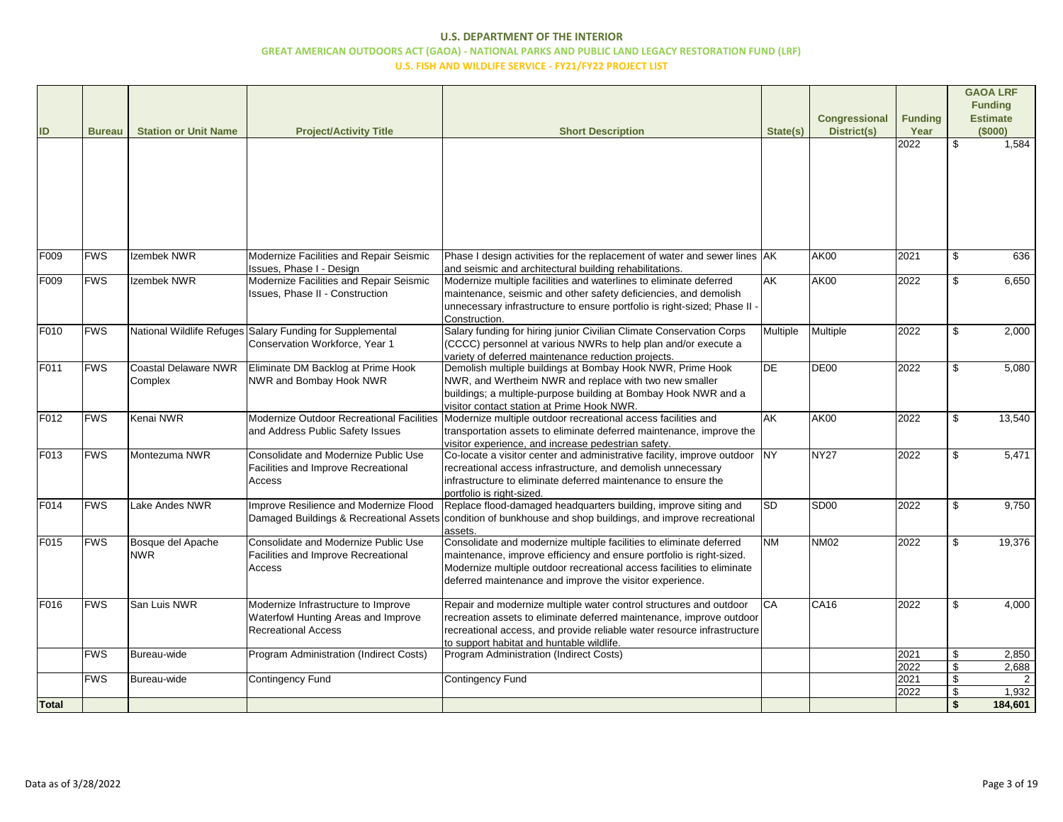| ID               | <b>Bureau</b> | <b>Station or Unit Name</b>            | <b>Project/Activity Title</b>                                                                            | <b>Short Description</b>                                                                                                                                                                                                                                                          | State(s)  | <b>Congressional</b><br>District(s) | <b>Funding</b><br>Year | <b>GAOA LRF</b><br><b>Funding</b><br><b>Estimate</b><br>(\$000) |
|------------------|---------------|----------------------------------------|----------------------------------------------------------------------------------------------------------|-----------------------------------------------------------------------------------------------------------------------------------------------------------------------------------------------------------------------------------------------------------------------------------|-----------|-------------------------------------|------------------------|-----------------------------------------------------------------|
|                  |               |                                        |                                                                                                          |                                                                                                                                                                                                                                                                                   |           |                                     | 2022                   | 1,584                                                           |
| F009             | <b>FWS</b>    | Izembek NWR                            | Modernize Facilities and Repair Seismic<br>Issues, Phase I - Design                                      | Phase I design activities for the replacement of water and sewer lines AK<br>and seismic and architectural building rehabilitations.                                                                                                                                              |           | <b>AK00</b>                         | 2021                   | 636                                                             |
| F009             | <b>FWS</b>    | Izembek NWR                            | Modernize Facilities and Repair Seismic<br><b>Issues, Phase II - Construction</b>                        | Modernize multiple facilities and waterlines to eliminate deferred<br>maintenance, seismic and other safety deficiencies, and demolish<br>unnecessary infrastructure to ensure portfolio is right-sized; Phase II<br>Construction.                                                | AK        | <b>AK00</b>                         | $\overline{2}022$      | 6,650                                                           |
| F010             | <b>FWS</b>    |                                        | National Wildlife Refuges Salary Funding for Supplemental<br>Conservation Workforce, Year 1              | Salary funding for hiring junior Civilian Climate Conservation Corps<br>(CCCC) personnel at various NWRs to help plan and/or execute a<br>variety of deferred maintenance reduction projects.                                                                                     | Multiple  | Multiple                            | 2022                   | 2,000                                                           |
| F011             | <b>FWS</b>    | <b>Coastal Delaware NWR</b><br>Complex | Eliminate DM Backlog at Prime Hook<br>NWR and Bombay Hook NWR                                            | Demolish multiple buildings at Bombay Hook NWR, Prime Hook<br>NWR, and Wertheim NWR and replace with two new smaller<br>buildings; a multiple-purpose building at Bombay Hook NWR and a<br>visitor contact station at Prime Hook NWR.                                             | <b>DE</b> | DE <sub>00</sub>                    | 2022                   | 5,080                                                           |
| F <sub>012</sub> | <b>FWS</b>    | Kenai NWR                              | Modernize Outdoor Recreational Facilities<br>and Address Public Safety Issues                            | Modernize multiple outdoor recreational access facilities and<br>transportation assets to eliminate deferred maintenance, improve the<br>visitor experience, and increase pedestrian safety.                                                                                      | AK        | <b>AK00</b>                         | 2022                   | 13,540                                                          |
| F013             | <b>FWS</b>    | Montezuma NWR                          | <b>Consolidate and Modernize Public Use</b><br>Facilities and Improve Recreational<br>Access             | Co-locate a visitor center and administrative facility, improve outdoor<br>recreational access infrastructure, and demolish unnecessary<br>infrastructure to eliminate deferred maintenance to ensure the<br>portfolio is right-sized.                                            | <b>NY</b> | NY <sub>27</sub>                    | 2022                   | 5,471                                                           |
| F014             | <b>FWS</b>    | Lake Andes NWR                         | Improve Resilience and Modernize Flood<br>Damaged Buildings & Recreational Assets                        | Replace flood-damaged headquarters building, improve siting and<br>condition of bunkhouse and shop buildings, and improve recreational<br>assets.                                                                                                                                 | Isd       | SD <sub>00</sub>                    | 2022                   | 9,750                                                           |
| F015             | <b>FWS</b>    | Bosque del Apache<br><b>NWR</b>        | Consolidate and Modernize Public Use<br>Facilities and Improve Recreational<br>Access                    | Consolidate and modernize multiple facilities to eliminate deferred<br>maintenance, improve efficiency and ensure portfolio is right-sized.<br>Modernize multiple outdoor recreational access facilities to eliminate<br>deferred maintenance and improve the visitor experience. | <b>NM</b> | <b>NM02</b>                         | 2022                   | 19,376                                                          |
| F016             | <b>FWS</b>    | San Luis NWR                           | Modernize Infrastructure to Improve<br>Waterfowl Hunting Areas and Improve<br><b>Recreational Access</b> | Repair and modernize multiple water control structures and outdoor<br>recreation assets to eliminate deferred maintenance, improve outdoor<br>recreational access, and provide reliable water resource infrastructure<br>to support habitat and huntable wildlife.                | <b>CA</b> | CA <sub>16</sub>                    | 2022                   | 4,000                                                           |
|                  | <b>FWS</b>    | Bureau-wide                            | Program Administration (Indirect Costs)                                                                  | Program Administration (Indirect Costs)                                                                                                                                                                                                                                           |           |                                     | 2021                   | 2,850                                                           |
|                  | <b>FWS</b>    | Bureau-wide                            | <b>Contingency Fund</b>                                                                                  | <b>Contingency Fund</b>                                                                                                                                                                                                                                                           |           |                                     | 2022<br>2021           | 2,688<br>2                                                      |
|                  |               |                                        |                                                                                                          |                                                                                                                                                                                                                                                                                   |           |                                     | 2022                   | 1,932                                                           |
| <b>Total</b>     |               |                                        |                                                                                                          |                                                                                                                                                                                                                                                                                   |           |                                     |                        | 184,601                                                         |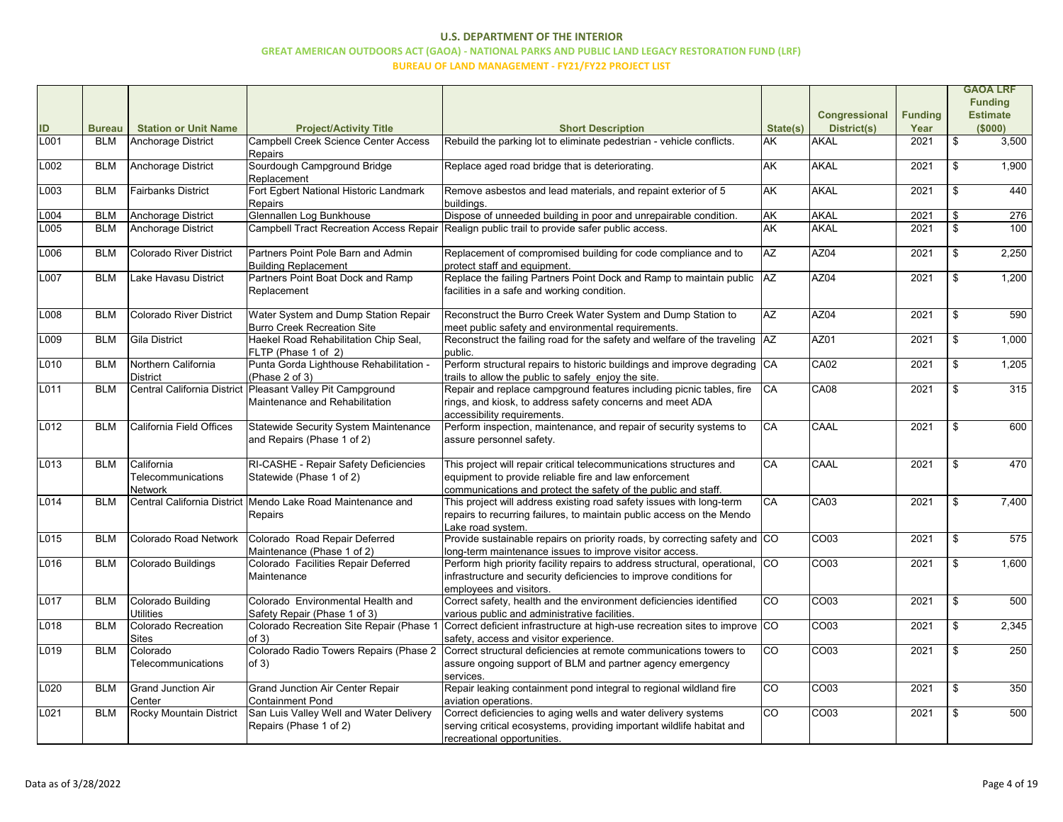|      |               |                                                    |                                                                                              |                                                                                                                                                                                                 |             | Congressional      | <b>Funding</b> |                           | <b>GAOA LRF</b><br><b>Funding</b><br><b>Estimate</b> |
|------|---------------|----------------------------------------------------|----------------------------------------------------------------------------------------------|-------------------------------------------------------------------------------------------------------------------------------------------------------------------------------------------------|-------------|--------------------|----------------|---------------------------|------------------------------------------------------|
| ID   | <b>Bureau</b> | <b>Station or Unit Name</b>                        | <b>Project/Activity Title</b>                                                                | <b>Short Description</b>                                                                                                                                                                        | State(s)    | <b>District(s)</b> | Year           |                           | (\$000)                                              |
| L001 | <b>BLM</b>    | Anchorage District                                 | Campbell Creek Science Center Access<br><b>Repairs</b>                                       | Rebuild the parking lot to eliminate pedestrian - vehicle conflicts.                                                                                                                            | <b>AK</b>   | AKAL               | 2021           | $\boldsymbol{\mathsf{S}}$ | 3,500                                                |
| L002 | <b>BLM</b>    | Anchorage District                                 | Sourdough Campground Bridge<br>Replacement                                                   | Replace aged road bridge that is deteriorating.                                                                                                                                                 | <b>AK</b>   | AKAL               | 2021           | \$                        | 1,900                                                |
| L003 | <b>BLM</b>    | <b>Fairbanks District</b>                          | Fort Egbert National Historic Landmark<br>Repairs                                            | Remove asbestos and lead materials, and repaint exterior of 5<br>buildings.                                                                                                                     | <b>AK</b>   | AKAL               | 2021           | \$                        | 440                                                  |
| L004 | <b>BLM</b>    | Anchorage District                                 | Glennallen Log Bunkhouse                                                                     | Dispose of unneeded building in poor and unrepairable condition.                                                                                                                                | <b>J</b> AK | AKAL               | 2021           | $\mathfrak{S}$            | 276                                                  |
| L005 | <b>BLM</b>    | Anchorage District                                 | <b>Campbell Tract Recreation Access Repair</b>                                               | Realign public trail to provide safer public access.                                                                                                                                            | <b>AK</b>   | AKAL               | 2021           | $\mathfrak{S}$            | 100                                                  |
| L006 | <b>BLM</b>    | Colorado River District                            | Partners Point Pole Barn and Admin<br><b>Building Replacement</b>                            | Replacement of compromised building for code compliance and to<br>protect staff and equipment.                                                                                                  | <b>AZ</b>   | AZ04               | 2021           | \$                        | 2,250                                                |
| L007 | <b>BLM</b>    | Lake Havasu District                               | Partners Point Boat Dock and Ramp<br>Replacement                                             | Replace the failing Partners Point Dock and Ramp to maintain public<br>facilities in a safe and working condition.                                                                              | <b>AZ</b>   | AZ04               | 2021           | $\mathfrak{S}$            | 1,200                                                |
| L008 | <b>BLM</b>    | Colorado River District                            | Water System and Dump Station Repair<br>Burro Creek Recreation Site                          | Reconstruct the Burro Creek Water System and Dump Station to<br>meet public safety and environmental requirements.                                                                              | <b>AZ</b>   | AZ04               | 2021           | $\mathfrak{S}$            | 590                                                  |
| L009 | <b>BLM</b>    | Gila District                                      | Haekel Road Rehabilitation Chip Seal,<br>FLTP (Phase 1 of 2)                                 | Reconstruct the failing road for the safety and welfare of the traveling AZ<br>public.                                                                                                          |             | AZ01               | 2021           | $\mathfrak{S}$            | 1,000                                                |
| L010 | <b>BLM</b>    | Northern California<br>District                    | Punta Gorda Lighthouse Rehabilitation -<br>(Phase 2 of 3)                                    | Perform structural repairs to historic buildings and improve degrading CA<br>trails to allow the public to safely enjoy the site.                                                               |             | <b>CA02</b>        | 2021           | $\mathfrak{S}$            | 1,205                                                |
| L011 | <b>BLM</b>    |                                                    | Central California District Pleasant Valley Pit Campground<br>Maintenance and Rehabilitation | Repair and replace campground features including picnic tables, fire<br>rings, and kiosk, to address safety concerns and meet ADA<br>accessibility requirements.                                | <b>CA</b>   | <b>CA08</b>        | 2021           | \$                        | 315                                                  |
| L012 | <b>BLM</b>    | California Field Offices                           | Statewide Security System Maintenance<br>and Repairs (Phase 1 of 2)                          | Perform inspection, maintenance, and repair of security systems to<br>assure personnel safety.                                                                                                  | <b>CA</b>   | <b>CAAL</b>        | 2021           | \$                        | 600                                                  |
| L013 | <b>BLM</b>    | California<br>Telecommunications<br><b>Network</b> | RI-CASHE - Repair Safety Deficiencies<br>Statewide (Phase 1 of 2)                            | This project will repair critical telecommunications structures and<br>equipment to provide reliable fire and law enforcement<br>communications and protect the safety of the public and staff. | CA          | <b>CAAL</b>        | 2021           | $\mathfrak{S}$            | 470                                                  |
| L014 | <b>BLM</b>    |                                                    | Central California District Mendo Lake Road Maintenance and<br>Repairs                       | This project will address existing road safety issues with long-term<br>repairs to recurring failures, to maintain public access on the Mendo<br>Lake road system.                              | CA          | <b>CA03</b>        | 2021           | \$                        | 7,400                                                |
| L015 | <b>BLM</b>    | Colorado Road Network                              | Colorado Road Repair Deferred<br>Maintenance (Phase 1 of 2)                                  | Provide sustainable repairs on priority roads, by correcting safety and CO<br>long-term maintenance issues to improve visitor access.                                                           |             | CO <sub>03</sub>   | 2021           | \$                        | 575                                                  |
| L016 | <b>BLM</b>    | Colorado Buildings                                 | Colorado Facilities Repair Deferred<br>Maintenance                                           | Perform high priority facility repairs to address structural, operational, CO<br>infrastructure and security deficiencies to improve conditions for<br>employees and visitors.                  |             | CO <sub>03</sub>   | 2021           | \$                        | 1,600                                                |
| L017 | <b>BLM</b>    | Colorado Building<br><b>Utilities</b>              | Colorado Environmental Health and<br>Safety Repair (Phase 1 of 3)                            | Correct safety, health and the environment deficiencies identified<br>various public and administrative facilities.                                                                             | CO          | CO <sub>03</sub>   | 2021           | \$                        | 500                                                  |
| L018 | <b>BLM</b>    | Colorado Recreation<br><b>Sites</b>                | of 3)                                                                                        | Colorado Recreation Site Repair (Phase 1 Correct deficient infrastructure at high-use recreation sites to improve CO<br>safety, access and visitor experience.                                  |             | CO <sub>03</sub>   | 2021           | \$                        | 2,345                                                |
| L019 | <b>BLM</b>    | Colorado<br>Telecommunications                     | Colorado Radio Towers Repairs (Phase 2<br>of $3)$                                            | Correct structural deficiencies at remote communications towers to<br>assure ongoing support of BLM and partner agency emergency<br>services.                                                   | Ico         | CO <sub>03</sub>   | 2021           | \$                        | 250                                                  |
| L020 | <b>BLM</b>    | <b>Grand Junction Air</b><br>Center                | <b>Grand Junction Air Center Repair</b><br><b>Containment Pond</b>                           | Repair leaking containment pond integral to regional wildland fire<br>aviation operations.                                                                                                      | CO          | CO <sub>03</sub>   | 2021           | \$                        | 350                                                  |
| L021 | <b>BLM</b>    | Rocky Mountain District                            | San Luis Valley Well and Water Delivery<br>Repairs (Phase 1 of 2)                            | Correct deficiencies to aging wells and water delivery systems<br>serving critical ecosystems, providing important wildlife habitat and<br>recreational opportunities.                          | lco         | CO <sub>03</sub>   | 2021           | \$                        | 500                                                  |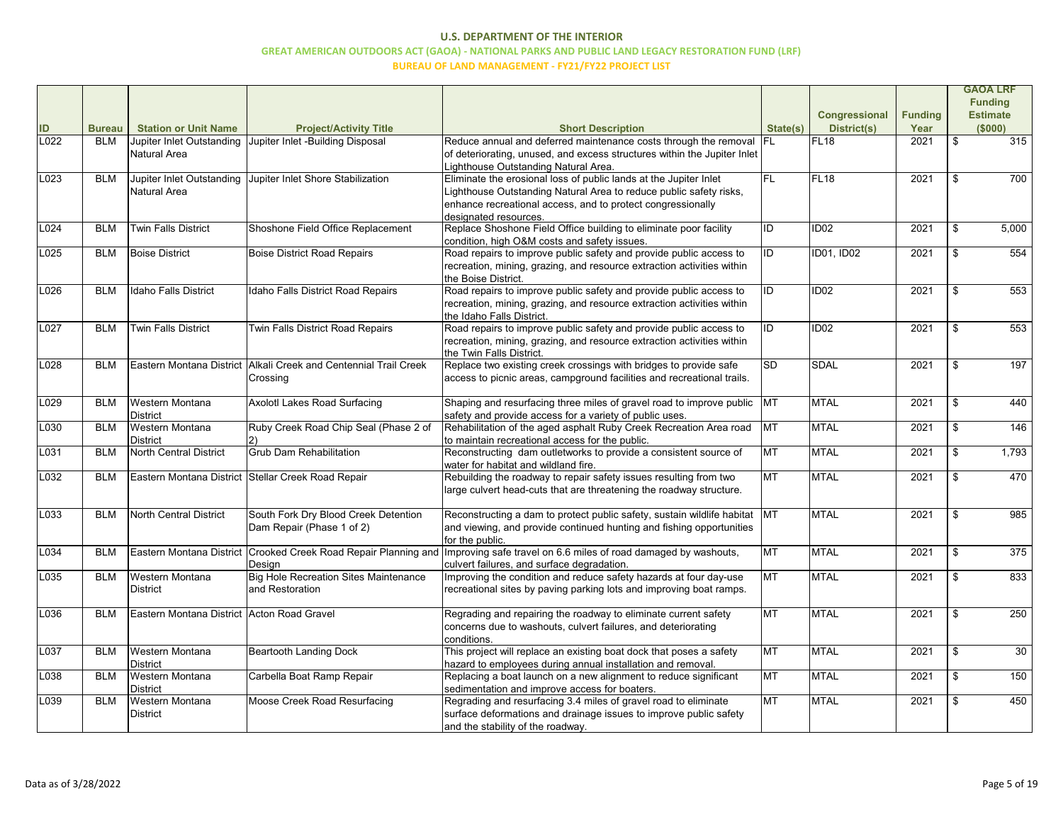|      |               |                                            |                                                                  |                                                                                         |             |                      |                |      | <b>GAOA LRF</b> |
|------|---------------|--------------------------------------------|------------------------------------------------------------------|-----------------------------------------------------------------------------------------|-------------|----------------------|----------------|------|-----------------|
|      |               |                                            |                                                                  |                                                                                         |             |                      |                |      | <b>Funding</b>  |
|      |               |                                            |                                                                  |                                                                                         |             | <b>Congressional</b> | <b>Funding</b> |      | <b>Estimate</b> |
| ID   | <b>Bureau</b> | <b>Station or Unit Name</b>                | <b>Project/Activity Title</b>                                    | <b>Short Description</b>                                                                | State(s)    | <b>District(s)</b>   | Year           |      | (\$000)         |
| L022 | <b>BLM</b>    | Jupiter Inlet Outstanding                  | Jupiter Inlet -Building Disposal                                 | Reduce annual and deferred maintenance costs through the removal FL                     |             | FL <sub>18</sub>     | 2021           | \$   | 315             |
|      |               | Natural Area                               |                                                                  | of deteriorating, unused, and excess structures within the Jupiter Inlet                |             |                      |                |      |                 |
|      |               |                                            |                                                                  | Lighthouse Outstanding Natural Area.                                                    |             |                      |                |      |                 |
| L023 | <b>BLM</b>    |                                            | Jupiter Inlet Outstanding Jupiter Inlet Shore Stabilization      | Eliminate the erosional loss of public lands at the Jupiter Inlet                       | IfL         | FL18                 | 2021           |      | 700             |
|      |               | Natural Area                               |                                                                  | Lighthouse Outstanding Natural Area to reduce public safety risks,                      |             |                      |                |      |                 |
|      |               |                                            |                                                                  | enhance recreational access, and to protect congressionally                             |             |                      |                |      |                 |
|      |               |                                            |                                                                  | designated resources.                                                                   |             |                      |                |      |                 |
| L024 | <b>BLM</b>    | <b>Twin Falls District</b>                 | Shoshone Field Office Replacement                                | Replace Shoshone Field Office building to eliminate poor facility                       | lid.        | ID <sub>02</sub>     | 2021           |      | 5,000           |
|      |               |                                            |                                                                  | condition, high O&M costs and safety issues.                                            |             |                      |                |      |                 |
| L025 | <b>BLM</b>    | <b>Boise District</b>                      | <b>Boise District Road Repairs</b>                               | Road repairs to improve public safety and provide public access to                      | lıd.        | <b>ID01, ID02</b>    | 2021           |      | 554             |
|      |               |                                            |                                                                  | recreation, mining, grazing, and resource extraction activities within                  |             |                      |                |      |                 |
|      |               |                                            |                                                                  | the Boise District.                                                                     |             |                      |                |      |                 |
| L026 | <b>BLM</b>    | Idaho Falls District                       | Idaho Falls District Road Repairs                                | Road repairs to improve public safety and provide public access to                      | <b>IID</b>  | ID <sub>02</sub>     | 2021           |      | 553             |
|      |               |                                            |                                                                  | recreation, mining, grazing, and resource extraction activities within                  |             |                      |                |      |                 |
|      |               |                                            |                                                                  | the Idaho Falls District.                                                               |             |                      |                |      |                 |
| L027 | <b>BLM</b>    | <b>Twin Falls District</b>                 | Twin Falls District Road Repairs                                 | Road repairs to improve public safety and provide public access to                      | lıd.        | ID <sub>02</sub>     | 2021           |      | 553             |
|      |               |                                            |                                                                  | recreation, mining, grazing, and resource extraction activities within                  |             |                      |                |      |                 |
|      |               |                                            |                                                                  | the Twin Falls District.                                                                |             |                      |                |      |                 |
| L028 | <b>BLM</b>    |                                            | Eastern Montana District Alkali Creek and Centennial Trail Creek | Replace two existing creek crossings with bridges to provide safe                       | Isd         | SDAL                 | 2021           |      | 197             |
|      |               |                                            | Crossing                                                         | access to picnic areas, campground facilities and recreational trails.                  |             |                      |                |      |                 |
|      |               |                                            |                                                                  |                                                                                         |             |                      |                |      |                 |
| L029 | <b>BLM</b>    | <b>Western Montana</b>                     | <b>Axolotl Lakes Road Surfacing</b>                              | Shaping and resurfacing three miles of gravel road to improve public                    | <b>MT</b>   | MTAL                 | 2021           |      | 440             |
|      |               | <b>District</b>                            |                                                                  | safety and provide access for a variety of public uses.                                 |             |                      |                |      |                 |
| L030 | <b>BLM</b>    | Western Montana                            | Ruby Creek Road Chip Seal (Phase 2 of                            | Rehabilitation of the aged asphalt Ruby Creek Recreation Area road                      | <b>MT</b>   | <b>MTAL</b>          | 2021           |      | 146             |
|      |               | District                                   |                                                                  | to maintain recreational access for the public.                                         |             |                      |                |      |                 |
| L031 | <b>BLM</b>    | <b>North Central District</b>              | <b>Grub Dam Rehabilitation</b>                                   | Reconstructing dam outletworks to provide a consistent source of                        | <b>MT</b>   | MTAL                 | 2021           |      | 1,793           |
|      |               |                                            |                                                                  | water for habitat and wildland fire.                                                    |             |                      |                |      |                 |
| L032 | <b>BLM</b>    |                                            | Eastern Montana District Stellar Creek Road Repair               | Rebuilding the roadway to repair safety issues resulting from two                       | MT          | MTAL                 | 2021           |      | 470             |
|      |               |                                            |                                                                  | large culvert head-cuts that are threatening the roadway structure.                     |             |                      |                |      |                 |
|      | <b>BLM</b>    | <b>North Central District</b>              | South Fork Dry Blood Creek Detention                             |                                                                                         |             | MTAL                 |                |      |                 |
| L033 |               |                                            |                                                                  | Reconstructing a dam to protect public safety, sustain wildlife habitat   MT            |             |                      | 2021           |      | 985             |
|      |               |                                            | Dam Repair (Phase 1 of 2)                                        | and viewing, and provide continued hunting and fishing opportunities<br>for the public. |             |                      |                |      |                 |
| L034 | <b>BLM</b>    | Eastern Montana District                   | Crooked Creek Road Repair Planning and                           | Improving safe travel on 6.6 miles of road damaged by washouts,                         | <b>I</b> MT | MTAL                 | 2021           |      | 375             |
|      |               |                                            | Design                                                           | culvert failures, and surface degradation.                                              |             |                      |                |      |                 |
| L035 | <b>BLM</b>    | <b>Western Montana</b>                     | <b>Big Hole Recreation Sites Maintenance</b>                     | Improving the condition and reduce safety hazards at four day-use                       | MT          | MTAL                 | 2021           | \$   | 833             |
|      |               | District                                   | and Restoration                                                  | recreational sites by paving parking lots and improving boat ramps.                     |             |                      |                |      |                 |
|      |               |                                            |                                                                  |                                                                                         |             |                      |                |      |                 |
| L036 | <b>BLM</b>    | Eastern Montana District Acton Road Gravel |                                                                  | Regrading and repairing the roadway to eliminate current safety                         | MT          | MTAL                 | 2021           |      | 250             |
|      |               |                                            |                                                                  | concerns due to washouts, culvert failures, and deteriorating                           |             |                      |                |      |                 |
|      |               |                                            |                                                                  | conditions.                                                                             |             |                      |                |      |                 |
| L037 | <b>BLM</b>    | <b>Western Montana</b>                     | <b>Beartooth Landing Dock</b>                                    | This project will replace an existing boat dock that poses a safety                     | MT          | MTAL                 | 2021           |      | 30              |
|      |               | District                                   |                                                                  | hazard to employees during annual installation and removal.                             |             |                      |                |      |                 |
| L038 | <b>BLM</b>    | <b>Western Montana</b>                     | Carbella Boat Ramp Repair                                        | Replacing a boat launch on a new alignment to reduce significant                        | MT          | MTAL                 | 2021           | \$   | 150             |
|      |               | District                                   |                                                                  | sedimentation and improve access for boaters.                                           |             |                      |                |      |                 |
| L039 | <b>BLM</b>    | <b>Western Montana</b>                     | Moose Creek Road Resurfacing                                     | Regrading and resurfacing 3.4 miles of gravel road to eliminate                         | MT          | MTAL                 | 2021           | - \$ | 450             |
|      |               | District                                   |                                                                  | surface deformations and drainage issues to improve public safety                       |             |                      |                |      |                 |
|      |               |                                            |                                                                  | and the stability of the roadway.                                                       |             |                      |                |      |                 |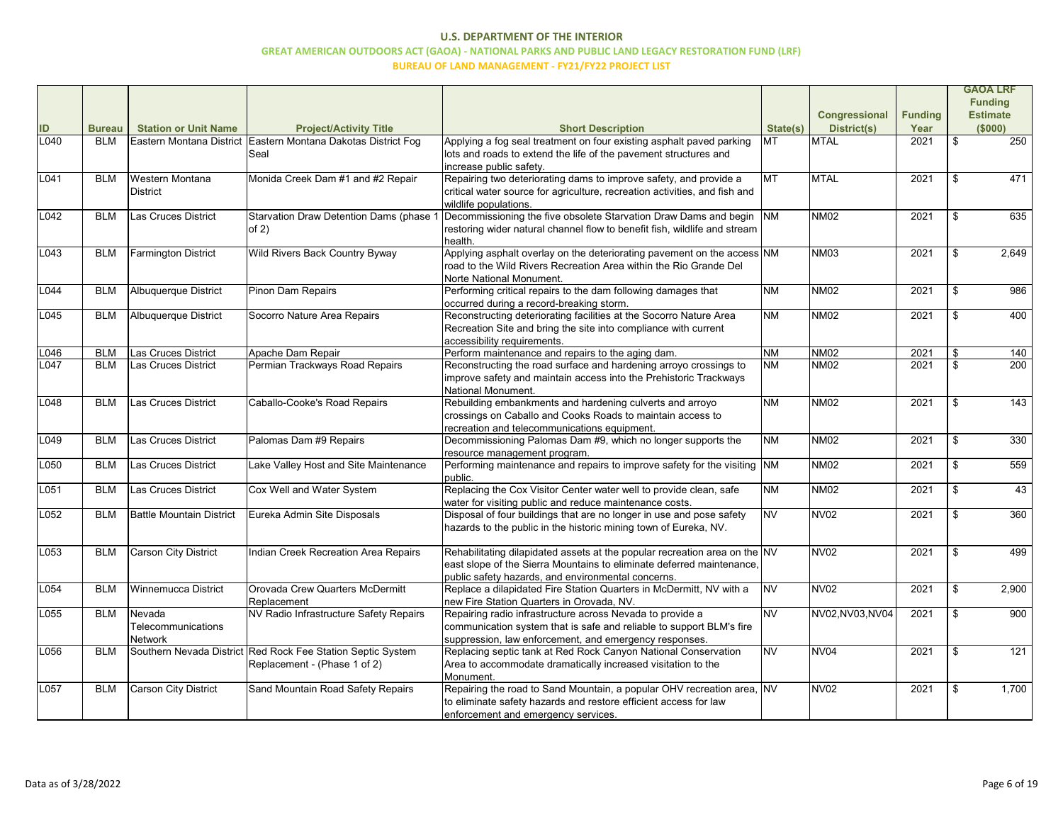|      |               |                                 |                                                               |                                                                            |           |                      |                |     | <b>GAOA LRF</b> |
|------|---------------|---------------------------------|---------------------------------------------------------------|----------------------------------------------------------------------------|-----------|----------------------|----------------|-----|-----------------|
|      |               |                                 |                                                               |                                                                            |           |                      |                |     | <b>Funding</b>  |
|      |               |                                 |                                                               |                                                                            |           | <b>Congressional</b> | <b>Funding</b> |     | <b>Estimate</b> |
| ID   | <b>Bureau</b> | <b>Station or Unit Name</b>     | <b>Project/Activity Title</b>                                 | <b>Short Description</b>                                                   | State(s)  | <b>District(s)</b>   | Year           |     | (\$000)         |
| L040 | <b>BLM</b>    |                                 | Eastern Montana District Eastern Montana Dakotas District Fog | Applying a fog seal treatment on four existing asphalt paved parking       | ИT        | <b>MTAL</b>          | 2021           | \$  | 250             |
|      |               |                                 | Seal                                                          | lots and roads to extend the life of the pavement structures and           |           |                      |                |     |                 |
|      |               |                                 |                                                               | increase public safety.                                                    |           |                      |                |     |                 |
| L041 | <b>BLM</b>    | Western Montana                 | Monida Creek Dam #1 and #2 Repair                             | Repairing two deteriorating dams to improve safety, and provide a          | Імт       | <b>MTAL</b>          | 2021           |     | 471             |
|      |               | <b>District</b>                 |                                                               | critical water source for agriculture, recreation activities, and fish and |           |                      |                |     |                 |
|      |               |                                 |                                                               | wildlife populations.                                                      |           |                      |                |     |                 |
| L042 | <b>BLM</b>    | Las Cruces District             | <b>Starvation Draw Detention Dams (phase 1</b>                | Decommissioning the five obsolete Starvation Draw Dams and begin  NM       |           | <b>NM02</b>          | 2021           |     | 635             |
|      |               |                                 | of $2)$                                                       | restoring wider natural channel flow to benefit fish, wildlife and stream  |           |                      |                |     |                 |
|      |               |                                 |                                                               | health.                                                                    |           |                      |                |     |                 |
| L043 | <b>BLM</b>    | <b>Farmington District</b>      | Wild Rivers Back Country Byway                                | Applying asphalt overlay on the deteriorating pavement on the access NM    |           | <b>NM03</b>          | 2021           |     | 2,649           |
|      |               |                                 |                                                               | road to the Wild Rivers Recreation Area within the Rio Grande Del          |           |                      |                |     |                 |
|      |               |                                 |                                                               | Norte National Monument.                                                   |           |                      |                |     |                 |
| L044 | <b>BLM</b>    | <b>Albuquerque District</b>     | <b>Pinon Dam Repairs</b>                                      | Performing critical repairs to the dam following damages that              | <b>NM</b> | <b>NM02</b>          | 2021           | \$. | 986             |
|      |               |                                 |                                                               | occurred during a record-breaking storm.                                   |           |                      |                |     |                 |
| L045 | <b>BLM</b>    | Albuquerque District            | Socorro Nature Area Repairs                                   | Reconstructing deteriorating facilities at the Socorro Nature Area         | <b>NM</b> | <b>NM02</b>          | 2021           |     | 400             |
|      |               |                                 |                                                               | Recreation Site and bring the site into compliance with current            |           |                      |                |     |                 |
|      |               |                                 |                                                               | accessibility requirements.                                                |           |                      |                |     |                 |
| L046 | <b>BLM</b>    | Las Cruces District             | Apache Dam Repair                                             | Perform maintenance and repairs to the aging dam.                          | <b>NM</b> | <b>NM02</b>          | 2021           |     | 140             |
| L047 | <b>BLM</b>    | Las Cruces District             | Permian Trackways Road Repairs                                | Reconstructing the road surface and hardening arroyo crossings to          | <b>NM</b> | <b>NM02</b>          | 2021           |     | 200             |
|      |               |                                 |                                                               | improve safety and maintain access into the Prehistoric Trackways          |           |                      |                |     |                 |
|      |               |                                 |                                                               | National Monument.                                                         |           |                      |                |     |                 |
| L048 | BLM           | Las Cruces District             | Caballo-Cooke's Road Repairs                                  | Rebuilding embankments and hardening culverts and arroyo                   | <b>NM</b> | <b>NM02</b>          | 2021           |     | 143             |
|      |               |                                 |                                                               | crossings on Caballo and Cooks Roads to maintain access to                 |           |                      |                |     |                 |
|      |               |                                 |                                                               | recreation and telecommunications equipment.                               |           |                      |                |     |                 |
| L049 | <b>BLM</b>    | Las Cruces District             | Palomas Dam #9 Repairs                                        | Decommissioning Palomas Dam #9, which no longer supports the               | <b>NM</b> | <b>NM02</b>          | 2021           |     | 330             |
|      |               |                                 |                                                               | resource management program.                                               |           |                      |                |     |                 |
| L050 | <b>BLM</b>    | Las Cruces District             | Lake Valley Host and Site Maintenance                         | Performing maintenance and repairs to improve safety for the visiting NM   |           | <b>NM02</b>          | 2021           |     | 559             |
|      |               |                                 |                                                               | public.                                                                    |           |                      |                |     |                 |
| L051 | <b>BLM</b>    | Las Cruces District             | Cox Well and Water System                                     | Replacing the Cox Visitor Center water well to provide clean, safe         | <b>NM</b> | <b>NM02</b>          | 2021           |     | 43              |
|      |               |                                 |                                                               | water for visiting public and reduce maintenance costs.                    |           |                      |                |     |                 |
| L052 | <b>BLM</b>    | <b>Battle Mountain District</b> | Eureka Admin Site Disposals                                   | Disposal of four buildings that are no longer in use and pose safety       | <b>NV</b> | <b>NV02</b>          | 2021           |     | 360             |
|      |               |                                 |                                                               | hazards to the public in the historic mining town of Eureka, NV.           |           |                      |                |     |                 |
|      |               |                                 |                                                               |                                                                            |           |                      |                |     |                 |
| L053 | <b>BLM</b>    | <b>Carson City District</b>     | Indian Creek Recreation Area Repairs                          | Rehabilitating dilapidated assets at the popular recreation area on the NV |           | <b>NV02</b>          | 2021           |     | 499             |
|      |               |                                 |                                                               | east slope of the Sierra Mountains to eliminate deferred maintenance,      |           |                      |                |     |                 |
|      |               |                                 |                                                               | public safety hazards, and environmental concerns.                         |           |                      |                |     |                 |
| L054 | <b>BLM</b>    | <b>Winnemucca District</b>      | Orovada Crew Quarters McDermitt                               | Replace a dilapidated Fire Station Quarters in McDermitt, NV with a        | <b>NV</b> | NV <sub>02</sub>     | 2021           | \$  | 2,900           |
|      |               |                                 | Replacement                                                   | new Fire Station Quarters in Orovada, NV.                                  |           |                      |                |     |                 |
| L055 | <b>BLM</b>    | Nevada                          | NV Radio Infrastructure Safety Repairs                        | Repairing radio infrastructure across Nevada to provide a                  | <b>NV</b> | NV02, NV03, NV04     | 2021           | -\$ | 900             |
|      |               | Telecommunications              |                                                               | communication system that is safe and reliable to support BLM's fire       |           |                      |                |     |                 |
|      |               | <b>Network</b>                  |                                                               | suppression, law enforcement, and emergency responses.                     |           |                      |                |     |                 |
| L056 | <b>BLM</b>    |                                 | Southern Nevada District Red Rock Fee Station Septic System   | Replacing septic tank at Red Rock Canyon National Conservation             | <b>NV</b> | NV <sub>04</sub>     | 2021           |     | 121             |
|      |               |                                 | Replacement - (Phase 1 of 2)                                  | Area to accommodate dramatically increased visitation to the               |           |                      |                |     |                 |
|      |               |                                 |                                                               | Monument.                                                                  |           |                      |                |     |                 |
| L057 | <b>BLM</b>    | <b>Carson City District</b>     | Sand Mountain Road Safety Repairs                             | Repairing the road to Sand Mountain, a popular OHV recreation area, NV     |           | NV <sub>02</sub>     | 2021           |     | 1,700           |
|      |               |                                 |                                                               | to eliminate safety hazards and restore efficient access for law           |           |                      |                |     |                 |
|      |               |                                 |                                                               | enforcement and emergency services.                                        |           |                      |                |     |                 |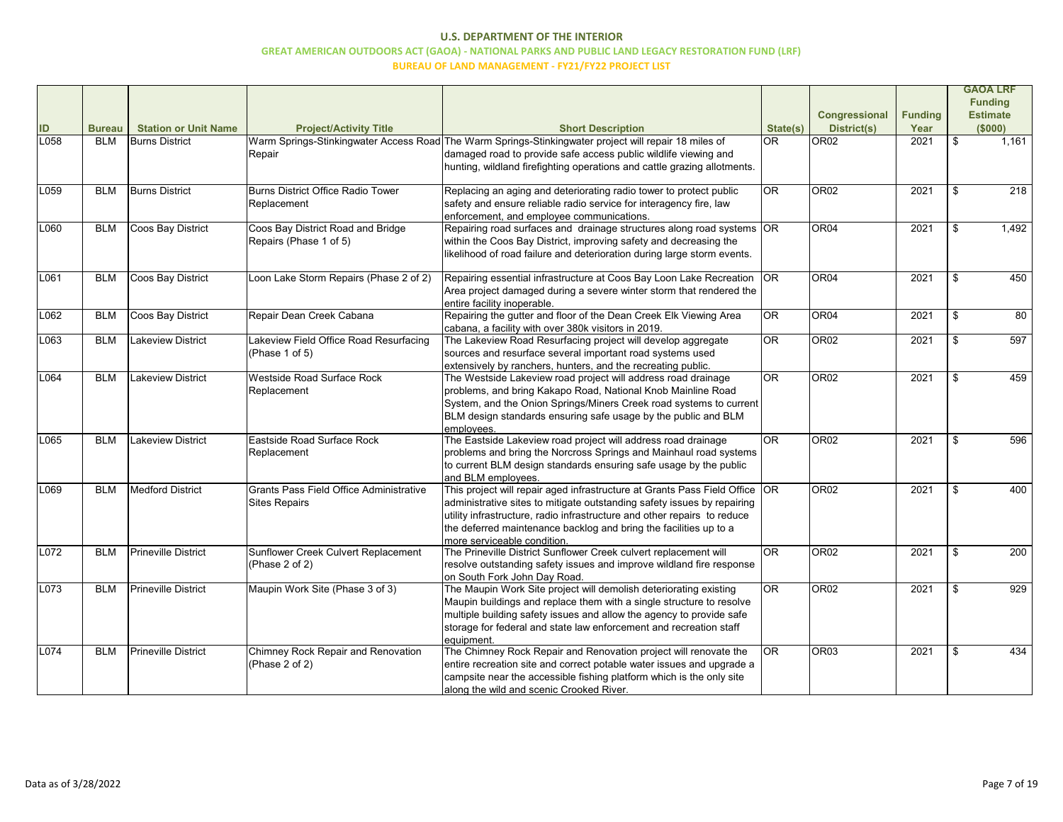|      |               |                             |                                                |                                                                                                                               |                        |                      |                |     | <b>GAOA LRF</b> |
|------|---------------|-----------------------------|------------------------------------------------|-------------------------------------------------------------------------------------------------------------------------------|------------------------|----------------------|----------------|-----|-----------------|
|      |               |                             |                                                |                                                                                                                               |                        |                      |                |     | <b>Funding</b>  |
|      |               |                             |                                                |                                                                                                                               |                        | <b>Congressional</b> | <b>Funding</b> |     | <b>Estimate</b> |
| ID   | <b>Bureau</b> | <b>Station or Unit Name</b> | <b>Project/Activity Title</b>                  | <b>Short Description</b>                                                                                                      | State(s)               | <b>District(s)</b>   | Year           |     | (\$000)         |
| L058 | <b>BLM</b>    | <b>Burns District</b>       |                                                | Warm Springs-Stinkingwater Access Road The Warm Springs-Stinkingwater project will repair 18 miles of                         | $\overline{OR}$        | OR <sub>02</sub>     | 2021           | \$  | 1,161           |
|      |               |                             | Repair                                         | damaged road to provide safe access public wildlife viewing and                                                               |                        |                      |                |     |                 |
|      |               |                             |                                                | hunting, wildland firefighting operations and cattle grazing allotments.                                                      |                        |                      |                |     |                 |
|      |               |                             |                                                |                                                                                                                               |                        |                      |                |     |                 |
| L059 | <b>BLM</b>    | <b>Burns District</b>       | <b>Burns District Office Radio Tower</b>       | Replacing an aging and deteriorating radio tower to protect public                                                            | <b>OR</b>              | OR <sub>02</sub>     | 2021           |     | 218             |
|      |               |                             | Replacement                                    | safety and ensure reliable radio service for interagency fire, law<br>enforcement, and employee communications.               |                        |                      |                |     |                 |
| L060 | <b>BLM</b>    | Coos Bay District           | Coos Bay District Road and Bridge              | Repairing road surfaces and drainage structures along road systems OR                                                         |                        | OR <sub>04</sub>     | 2021           |     | 1,492           |
|      |               |                             | Repairs (Phase 1 of 5)                         | within the Coos Bay District, improving safety and decreasing the                                                             |                        |                      |                |     |                 |
|      |               |                             |                                                | likelihood of road failure and deterioration during large storm events.                                                       |                        |                      |                |     |                 |
|      |               |                             |                                                |                                                                                                                               |                        |                      |                |     |                 |
| L061 | <b>BLM</b>    | Coos Bay District           | Loon Lake Storm Repairs (Phase 2 of 2)         | Repairing essential infrastructure at Coos Bay Loon Lake Recreation OR                                                        |                        | OR <sub>04</sub>     | 2021           | \$. | 450             |
|      |               |                             |                                                | Area project damaged during a severe winter storm that rendered the                                                           |                        |                      |                |     |                 |
|      |               |                             |                                                | entire facility inoperable.                                                                                                   |                        |                      |                |     |                 |
| L062 | <b>BLM</b>    | Coos Bay District           | Repair Dean Creek Cabana                       | Repairing the gutter and floor of the Dean Creek Elk Viewing Area                                                             | <b>OR</b>              | OR <sub>04</sub>     | 2021           |     | 80              |
|      |               |                             |                                                | cabana, a facility with over 380k visitors in 2019.                                                                           |                        |                      |                |     |                 |
| L063 | <b>BLM</b>    | Lakeview District           | Lakeview Field Office Road Resurfacing         | The Lakeview Road Resurfacing project will develop aggregate                                                                  | $\overline{\text{OR}}$ | OR <sub>02</sub>     | 2021           |     | 597             |
|      |               |                             | (Phase 1 of 5)                                 | sources and resurface several important road systems used                                                                     |                        |                      |                |     |                 |
| L064 | <b>BLM</b>    | Lakeview District           | Westside Road Surface Rock                     | extensively by ranchers, hunters, and the recreating public.<br>The Westside Lakeview road project will address road drainage | $\overline{\text{OR}}$ | OR <sub>02</sub>     | 2021           |     | 459             |
|      |               |                             | Replacement                                    | problems, and bring Kakapo Road, National Knob Mainline Road                                                                  |                        |                      |                |     |                 |
|      |               |                             |                                                | System, and the Onion Springs/Miners Creek road systems to current                                                            |                        |                      |                |     |                 |
|      |               |                             |                                                | BLM design standards ensuring safe usage by the public and BLM                                                                |                        |                      |                |     |                 |
|      |               |                             |                                                | employees.                                                                                                                    |                        |                      |                |     |                 |
| L065 | <b>BLM</b>    | Lakeview District           | Eastside Road Surface Rock                     | The Eastside Lakeview road project will address road drainage                                                                 | $\overline{OR}$        | OR <sub>02</sub>     | 2021           |     | 596             |
|      |               |                             | Replacement                                    | problems and bring the Norcross Springs and Mainhaul road systems                                                             |                        |                      |                |     |                 |
|      |               |                             |                                                | to current BLM design standards ensuring safe usage by the public                                                             |                        |                      |                |     |                 |
|      |               |                             |                                                | and BLM employees.                                                                                                            |                        |                      |                |     |                 |
| L069 | <b>BLM</b>    | <b>Medford District</b>     | <b>Grants Pass Field Office Administrative</b> | This project will repair aged infrastructure at Grants Pass Field Office $ {\sf OR} \>$                                       |                        | OR <sub>02</sub>     | 2021           |     | 400             |
|      |               |                             | <b>Sites Repairs</b>                           | administrative sites to mitigate outstanding safety issues by repairing                                                       |                        |                      |                |     |                 |
|      |               |                             |                                                | utility infrastructure, radio infrastructure and other repairs to reduce                                                      |                        |                      |                |     |                 |
|      |               |                             |                                                | the deferred maintenance backlog and bring the facilities up to a                                                             |                        |                      |                |     |                 |
| L072 | <b>BLM</b>    | <b>Prineville District</b>  | Sunflower Creek Culvert Replacement            | Imore serviceable condition.<br>The Prineville District Sunflower Creek culvert replacement will                              | $\overline{OR}$        | OR <sub>02</sub>     | 2021           |     | 200             |
|      |               |                             | (Phase 2 of 2)                                 | resolve outstanding safety issues and improve wildland fire response                                                          |                        |                      |                |     |                 |
|      |               |                             |                                                | on South Fork John Day Road.                                                                                                  |                        |                      |                |     |                 |
| L073 | <b>BLM</b>    | <b>Prineville District</b>  | Maupin Work Site (Phase 3 of 3)                | The Maupin Work Site project will demolish deteriorating existing                                                             | $\overline{\text{OR}}$ | OR <sub>02</sub>     | 2021           |     | 929             |
|      |               |                             |                                                | Maupin buildings and replace them with a single structure to resolve                                                          |                        |                      |                |     |                 |
|      |               |                             |                                                | multiple building safety issues and allow the agency to provide safe                                                          |                        |                      |                |     |                 |
|      |               |                             |                                                | storage for federal and state law enforcement and recreation staff                                                            |                        |                      |                |     |                 |
|      |               |                             |                                                | equipment.                                                                                                                    |                        |                      |                |     |                 |
| L074 | <b>BLM</b>    | <b>Prineville District</b>  | Chimney Rock Repair and Renovation             | The Chimney Rock Repair and Renovation project will renovate the                                                              | <b>OR</b>              | OR <sub>03</sub>     | 2021           |     | 434             |
|      |               |                             | (Phase 2 of 2)                                 | entire recreation site and correct potable water issues and upgrade a                                                         |                        |                      |                |     |                 |
|      |               |                             |                                                | campsite near the accessible fishing platform which is the only site                                                          |                        |                      |                |     |                 |
|      |               |                             |                                                | along the wild and scenic Crooked River.                                                                                      |                        |                      |                |     |                 |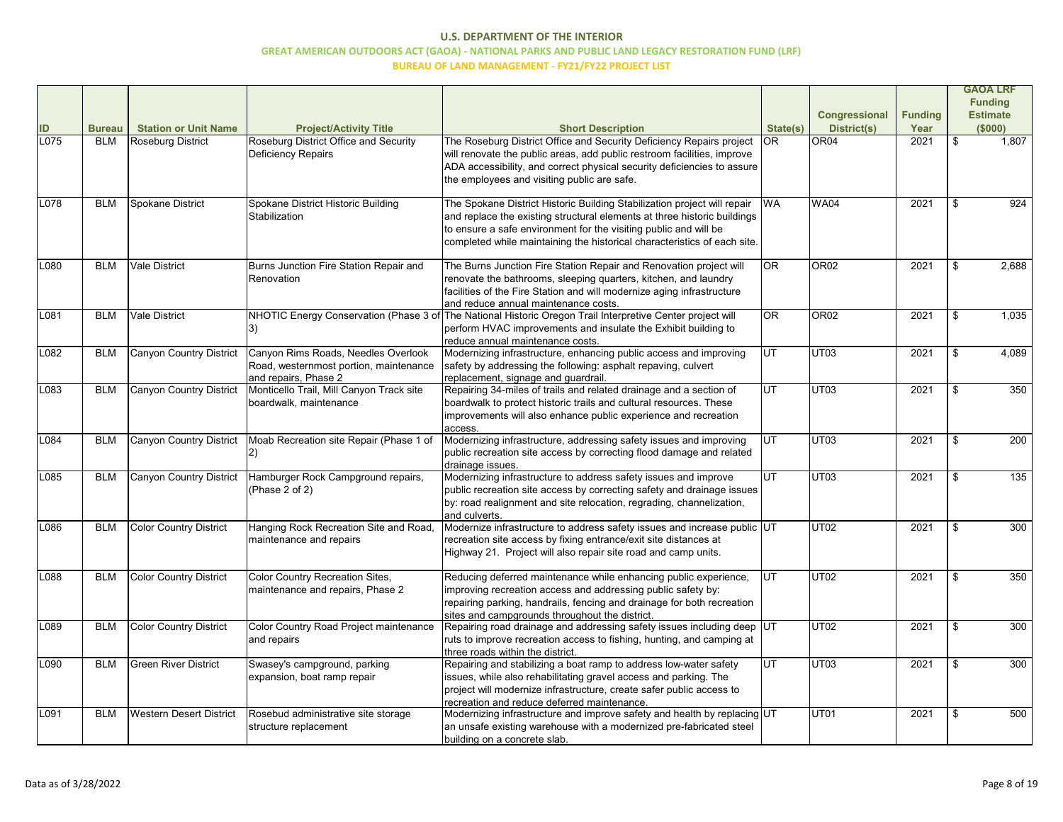|      |               |                                |                                                                                                       |                                                                                                                                                                                                                                                                                                      |                        |                      |                | <b>GAOA LRF</b> |
|------|---------------|--------------------------------|-------------------------------------------------------------------------------------------------------|------------------------------------------------------------------------------------------------------------------------------------------------------------------------------------------------------------------------------------------------------------------------------------------------------|------------------------|----------------------|----------------|-----------------|
|      |               |                                |                                                                                                       |                                                                                                                                                                                                                                                                                                      |                        |                      |                | <b>Funding</b>  |
|      |               |                                |                                                                                                       |                                                                                                                                                                                                                                                                                                      |                        | <b>Congressional</b> | <b>Funding</b> | <b>Estimate</b> |
| ID   | <b>Bureau</b> | <b>Station or Unit Name</b>    | <b>Project/Activity Title</b>                                                                         | <b>Short Description</b>                                                                                                                                                                                                                                                                             | State(s)               | <b>District(s)</b>   | Year           | (\$000)         |
| L075 | <b>BLM</b>    | Roseburg District              | Roseburg District Office and Security<br>Deficiency Repairs                                           | The Roseburg District Office and Security Deficiency Repairs project<br>will renovate the public areas, add public restroom facilities, improve<br>ADA accessibility, and correct physical security deficiencies to assure<br>the employees and visiting public are safe.                            | IOR.                   | OR <sub>04</sub>     | 2021           | \$<br>1,807     |
| L078 | <b>BLM</b>    | Spokane District               | Spokane District Historic Building<br>Stabilization                                                   | The Spokane District Historic Building Stabilization project will repair<br>and replace the existing structural elements at three historic buildings<br>to ensure a safe environment for the visiting public and will be<br>completed while maintaining the historical characteristics of each site. | <b>WA</b>              | <b>WA04</b>          | 2021           | 924             |
| L080 | <b>BLM</b>    | <b>Vale District</b>           | Burns Junction Fire Station Repair and<br>Renovation                                                  | The Burns Junction Fire Station Repair and Renovation project will<br>renovate the bathrooms, sleeping quarters, kitchen, and laundry<br>facilities of the Fire Station and will modernize aging infrastructure<br>and reduce annual maintenance costs.                                              | <b>OR</b>              | OR <sub>02</sub>     | 2021           | 2,688           |
| L081 | <b>BLM</b>    | <b>Vale District</b>           |                                                                                                       | NHOTIC Energy Conservation (Phase 3 of The National Historic Oregon Trail Interpretive Center project will<br>perform HVAC improvements and insulate the Exhibit building to<br>reduce annual maintenance costs.                                                                                     | $\overline{\text{OR}}$ | OR <sub>02</sub>     | 2021           | 1,035           |
| L082 | <b>BLM</b>    | Canyon Country District        | Canyon Rims Roads, Needles Overlook<br>Road, westernmost portion, maintenance<br>and repairs, Phase 2 | Modernizing infrastructure, enhancing public access and improving<br>safety by addressing the following: asphalt repaving, culvert<br>replacement, signage and guardrail.                                                                                                                            | UT                     | UT <sub>03</sub>     | 2021           | 4,089           |
| L083 | <b>BLM</b>    | Canyon Country District        | Monticello Trail, Mill Canyon Track site<br>boardwalk, maintenance                                    | Repairing 34-miles of trails and related drainage and a section of<br>boardwalk to protect historic trails and cultural resources. These<br>improvements will also enhance public experience and recreation<br>access                                                                                | lut                    | UT <sub>03</sub>     | 2021           | 350             |
| L084 | <b>BLM</b>    | Canyon Country District        | Moab Recreation site Repair (Phase 1 of                                                               | Modernizing infrastructure, addressing safety issues and improving<br>public recreation site access by correcting flood damage and related<br>drainage issues.                                                                                                                                       | UT                     | UT <sub>03</sub>     | 2021           | 200             |
| L085 | <b>BLM</b>    | Canyon Country District        | Hamburger Rock Campground repairs,<br>(Phase 2 of 2)                                                  | Modernizing infrastructure to address safety issues and improve<br>public recreation site access by correcting safety and drainage issues<br>by: road realignment and site relocation, regrading, channelization,<br>and culverts.                                                                   | lut                    | UT <sub>03</sub>     | 2021           | 135             |
| L086 | <b>BLM</b>    | Color Country District         | Hanging Rock Recreation Site and Road,<br>maintenance and repairs                                     | Modernize infrastructure to address safety issues and increase public UT<br>recreation site access by fixing entrance/exit site distances at<br>Highway 21. Project will also repair site road and camp units.                                                                                       |                        | UT <sub>02</sub>     | 2021           | 300             |
| L088 | <b>BLM</b>    | Color Country District         | Color Country Recreation Sites,<br>maintenance and repairs, Phase 2                                   | Reducing deferred maintenance while enhancing public experience,<br>improving recreation access and addressing public safety by:<br>repairing parking, handrails, fencing and drainage for both recreation<br>sites and campgrounds throughout the district.                                         | <b>IUT</b>             | UT <sub>02</sub>     | 2021           | 350             |
| L089 | <b>BLM</b>    | Color Country District         | Color Country Road Project maintenance<br>and repairs                                                 | Repairing road drainage and addressing safety issues including deep UT<br>ruts to improve recreation access to fishing, hunting, and camping at<br>three roads within the district.                                                                                                                  |                        | UT <sub>02</sub>     | 2021           | 300             |
| L090 | <b>BLM</b>    | <b>Green River District</b>    | Swasey's campground, parking<br>expansion, boat ramp repair                                           | Repairing and stabilizing a boat ramp to address low-water safety<br>issues, while also rehabilitating gravel access and parking. The<br>project will modernize infrastructure, create safer public access to<br>recreation and reduce deferred maintenance.                                         | UT                     | UT03                 | 2021           | 300             |
| L091 | <b>BLM</b>    | <b>Western Desert District</b> | Rosebud administrative site storage<br>structure replacement                                          | Modernizing infrastructure and improve safety and health by replacing UT<br>an unsafe existing warehouse with a modernized pre-fabricated steel<br>building on a concrete slab.                                                                                                                      |                        | UT01                 | 2021           | 500             |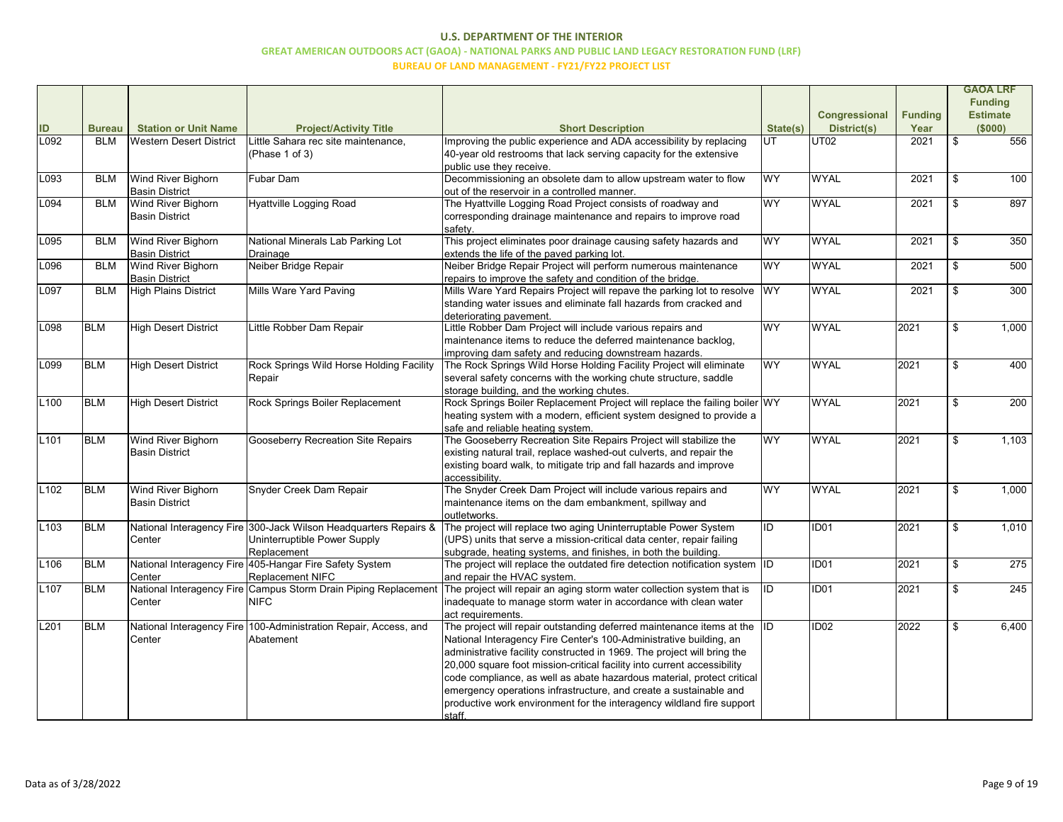|                  |               |                                |                                                                    |                                                                              |           |                      |                |     | <b>GAOA LRF</b>  |
|------------------|---------------|--------------------------------|--------------------------------------------------------------------|------------------------------------------------------------------------------|-----------|----------------------|----------------|-----|------------------|
|                  |               |                                |                                                                    |                                                                              |           |                      |                |     | <b>Funding</b>   |
|                  |               |                                |                                                                    |                                                                              |           | <b>Congressional</b> | <b>Funding</b> |     | <b>Estimate</b>  |
| ID               | <b>Bureau</b> | <b>Station or Unit Name</b>    | <b>Project/Activity Title</b>                                      | <b>Short Description</b>                                                     | State(s)  | <b>District(s)</b>   | Year           |     | (\$000)          |
| L092             | <b>BLM</b>    | <b>Western Desert District</b> | Little Sahara rec site maintenance,                                | mproving the public experience and ADA accessibility by replacing            | UT        | UT02                 | 2021           | \$  | 556              |
|                  |               |                                | (Phase 1 of 3)                                                     | 40-year old restrooms that lack serving capacity for the extensive           |           |                      |                |     |                  |
|                  |               |                                |                                                                    | public use they receive.                                                     |           |                      |                |     |                  |
| L093             | <b>BLM</b>    | Wind River Bighorn             | Fubar Dam                                                          | Decommissioning an obsolete dam to allow upstream water to flow              | <b>WY</b> | <b>WYAL</b>          | 2021           |     | 100              |
|                  |               | <b>Basin District</b>          |                                                                    | out of the reservoir in a controlled manner.                                 |           |                      |                |     |                  |
| L094             | <b>BLM</b>    | <b>Wind River Bighorn</b>      | Hyattville Logging Road                                            | The Hyattville Logging Road Project consists of roadway and                  | <b>WY</b> | <b>WYAL</b>          | 2021           |     | 897              |
|                  |               | <b>Basin District</b>          |                                                                    | corresponding drainage maintenance and repairs to improve road               |           |                      |                |     |                  |
|                  |               |                                |                                                                    | safety.                                                                      |           |                      |                |     |                  |
| L095             | <b>BLM</b>    | Wind River Bighorn             | National Minerals Lab Parking Lot                                  | This project eliminates poor drainage causing safety hazards and             | <b>WY</b> | <b>WYAL</b>          | 2021           |     | 350              |
|                  |               | <b>Basin District</b>          | Drainage                                                           | extends the life of the paved parking lot.                                   |           |                      |                |     |                  |
| L096             | <b>BLM</b>    | Wind River Bighorn             | Neiber Bridge Repair                                               | Neiber Bridge Repair Project will perform numerous maintenance               | <b>WY</b> | <b>WYAL</b>          | 2021           | \$  | 500              |
|                  |               | <b>Basin District</b>          |                                                                    | repairs to improve the safety and condition of the bridge.                   |           |                      |                |     |                  |
| L097             | <b>BLM</b>    | High Plains District           | Mills Ware Yard Paving                                             | Mills Ware Yard Repairs Project will repave the parking lot to resolve       | <b>WY</b> | <b>WYAL</b>          | 2021           |     | 300              |
|                  |               |                                |                                                                    | standing water issues and eliminate fall hazards from cracked and            |           |                      |                |     |                  |
|                  |               |                                |                                                                    | deteriorating pavement.                                                      |           |                      |                |     |                  |
| L098             | <b>BLM</b>    | <b>High Desert District</b>    | Little Robber Dam Repair                                           | Little Robber Dam Project will include various repairs and                   | <b>WY</b> | <b>WYAL</b>          | 2021           |     | 1,000            |
|                  |               |                                |                                                                    | maintenance items to reduce the deferred maintenance backlog,                |           |                      |                |     |                  |
|                  |               |                                |                                                                    | improving dam safety and reducing downstream hazards.                        |           |                      |                |     |                  |
| L099             | <b>BLM</b>    | <b>High Desert District</b>    | Rock Springs Wild Horse Holding Facility                           | The Rock Springs Wild Horse Holding Facility Project will eliminate          | WY        | <b>WYAL</b>          | 2021           |     | 400              |
|                  |               |                                | Repair                                                             | several safety concerns with the working chute structure, saddle             |           |                      |                |     |                  |
|                  |               |                                |                                                                    | storage building, and the working chutes.                                    |           |                      |                |     |                  |
| L <sub>100</sub> | <b>BLM</b>    | <b>High Desert District</b>    | Rock Springs Boiler Replacement                                    | Rock Springs Boiler Replacement Project will replace the failing boiler WY   |           | <b>WYAL</b>          | 2021           |     | 200              |
|                  |               |                                |                                                                    | heating system with a modern, efficient system designed to provide a         |           |                      |                |     |                  |
|                  |               |                                |                                                                    | safe and reliable heating system.                                            |           |                      |                |     |                  |
| L <sub>101</sub> | <b>BLM</b>    | Wind River Bighorn             | Gooseberry Recreation Site Repairs                                 | The Gooseberry Recreation Site Repairs Project will stabilize the            | WY        | <b>WYAL</b>          | 2021           |     | 1,103            |
|                  |               | <b>Basin District</b>          |                                                                    | existing natural trail, replace washed-out culverts, and repair the          |           |                      |                |     |                  |
|                  |               |                                |                                                                    | existing board walk, to mitigate trip and fall hazards and improve           |           |                      |                |     |                  |
|                  |               |                                |                                                                    | accessibility.                                                               |           |                      |                |     |                  |
| L102             | <b>BLM</b>    | Wind River Bighorn             | Snyder Creek Dam Repair                                            | The Snyder Creek Dam Project will include various repairs and                | <b>WY</b> | <b>WYAL</b>          | 2021           | \$. | 1,000            |
|                  |               | <b>Basin District</b>          |                                                                    | maintenance items on the dam embankment, spillway and                        |           |                      |                |     |                  |
|                  |               |                                |                                                                    | outletworks.                                                                 |           |                      |                |     |                  |
| L <sub>103</sub> | <b>BLM</b>    |                                | National Interagency Fire 300-Jack Wilson Headquarters Repairs &   | The project will replace two aging Uninterruptable Power System              | ID        | <b>ID01</b>          | 2021           |     | 1,010            |
|                  |               | Center                         | Uninterruptible Power Supply                                       | UPS) units that serve a mission-critical data center, repair failing         |           |                      |                |     |                  |
|                  |               |                                | Replacement                                                        | subgrade, heating systems, and finishes, in both the building.               |           |                      |                |     |                  |
| L <sub>106</sub> | <b>BLM</b>    |                                | National Interagency Fire 405-Hangar Fire Safety System            | The project will replace the outdated fire detection notification system ID  |           | <b>ID01</b>          | 2021           |     | 275              |
|                  |               | Center                         | <b>Replacement NIFC</b>                                            | and repair the HVAC system.                                                  |           |                      |                |     |                  |
| L <sub>107</sub> | <b>BLM</b>    |                                | National Interagency Fire Campus Storm Drain Piping Replacement    | The project will repair an aging storm water collection system that is       | lid       | <b>ID01</b>          | 2021           |     | $\overline{245}$ |
|                  |               | Center                         | <b>NIFC</b>                                                        | inadequate to manage storm water in accordance with clean water              |           |                      |                |     |                  |
|                  |               |                                |                                                                    | act requirements.                                                            |           |                      |                |     |                  |
| L201             | <b>BLM</b>    |                                | National Interagency Fire   100-Administration Repair, Access, and | The project will repair outstanding deferred maintenance items at the $ $ ID |           | ID <sub>02</sub>     | 2022           |     | 6,400            |
|                  |               | Center                         | Abatement                                                          | National Interagency Fire Center's 100-Administrative building, an           |           |                      |                |     |                  |
|                  |               |                                |                                                                    | administrative facility constructed in 1969. The project will bring the      |           |                      |                |     |                  |
|                  |               |                                |                                                                    | 20,000 square foot mission-critical facility into current accessibility      |           |                      |                |     |                  |
|                  |               |                                |                                                                    | code compliance, as well as abate hazardous material, protect critical       |           |                      |                |     |                  |
|                  |               |                                |                                                                    | emergency operations infrastructure, and create a sustainable and            |           |                      |                |     |                  |
|                  |               |                                |                                                                    | productive work environment for the interagency wildland fire support        |           |                      |                |     |                  |
|                  |               |                                |                                                                    | staff.                                                                       |           |                      |                |     |                  |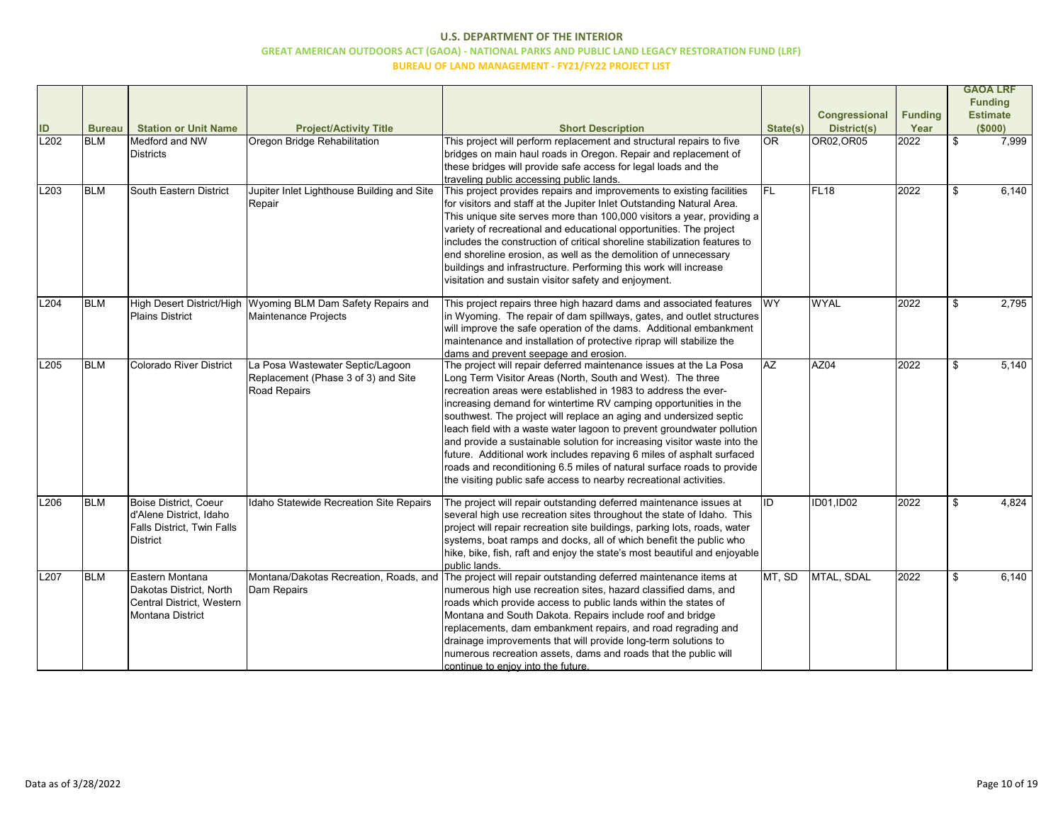|      |               |                                |                                                              |                                                                                                                              |           |                      |                |       | <b>GAOA LRF</b>                   |
|------|---------------|--------------------------------|--------------------------------------------------------------|------------------------------------------------------------------------------------------------------------------------------|-----------|----------------------|----------------|-------|-----------------------------------|
|      |               |                                |                                                              |                                                                                                                              |           | <b>Congressional</b> | <b>Funding</b> |       | <b>Funding</b><br><b>Estimate</b> |
| ID   | <b>Bureau</b> | <b>Station or Unit Name</b>    | <b>Project/Activity Title</b>                                | <b>Short Description</b>                                                                                                     | State(s)  | <b>District(s)</b>   | Year           |       | (\$000)                           |
| L202 | <b>BLM</b>    | Medford and NW                 | Oregon Bridge Rehabilitation                                 | This project will perform replacement and structural repairs to five                                                         | lor       | OR02, OR05           | 2022           | $\$\$ | 7,999                             |
|      |               | <b>Districts</b>               |                                                              | bridges on main haul roads in Oregon. Repair and replacement of                                                              |           |                      |                |       |                                   |
|      |               |                                |                                                              | these bridges will provide safe access for legal loads and the                                                               |           |                      |                |       |                                   |
| L203 | <b>BLM</b>    | South Eastern District         | Jupiter Inlet Lighthouse Building and Site                   | traveling public accessing public lands.<br>This project provides repairs and improvements to existing facilities            | IFL       | FL <sub>18</sub>     | 2022           |       | 6,140                             |
|      |               |                                | Repair                                                       | for visitors and staff at the Jupiter Inlet Outstanding Natural Area.                                                        |           |                      |                |       |                                   |
|      |               |                                |                                                              | This unique site serves more than 100,000 visitors a year, providing a                                                       |           |                      |                |       |                                   |
|      |               |                                |                                                              | variety of recreational and educational opportunities. The project                                                           |           |                      |                |       |                                   |
|      |               |                                |                                                              | includes the construction of critical shoreline stabilization features to                                                    |           |                      |                |       |                                   |
|      |               |                                |                                                              | end shoreline erosion, as well as the demolition of unnecessary                                                              |           |                      |                |       |                                   |
|      |               |                                |                                                              | buildings and infrastructure. Performing this work will increase                                                             |           |                      |                |       |                                   |
|      |               |                                |                                                              | visitation and sustain visitor safety and enjoyment.                                                                         |           |                      |                |       |                                   |
| L204 | <b>BLM</b>    |                                | High Desert District/High Wyoming BLM Dam Safety Repairs and | This project repairs three high hazard dams and associated features                                                          | <b>WY</b> | <b>WYAL</b>          | 2022           | \$    | 2,795                             |
|      |               | <b>Plains District</b>         | Maintenance Projects                                         | in Wyoming. The repair of dam spillways, gates, and outlet structures                                                        |           |                      |                |       |                                   |
|      |               |                                |                                                              | will improve the safe operation of the dams. Additional embankment                                                           |           |                      |                |       |                                   |
|      |               |                                |                                                              | maintenance and installation of protective riprap will stabilize the                                                         |           |                      |                |       |                                   |
|      |               |                                |                                                              | dams and prevent seepage and erosion.                                                                                        |           |                      |                |       |                                   |
| L205 | <b>BLM</b>    | <b>Colorado River District</b> | La Posa Wastewater Septic/Lagoon                             | The project will repair deferred maintenance issues at the La Posa                                                           | AZ        | AZ04                 | 2022           | \$    | 5,140                             |
|      |               |                                | Replacement (Phase 3 of 3) and Site<br>Road Repairs          | Long Term Visitor Areas (North, South and West). The three<br>recreation areas were established in 1983 to address the ever- |           |                      |                |       |                                   |
|      |               |                                |                                                              | increasing demand for wintertime RV camping opportunities in the                                                             |           |                      |                |       |                                   |
|      |               |                                |                                                              | southwest. The project will replace an aging and undersized septic                                                           |           |                      |                |       |                                   |
|      |               |                                |                                                              | leach field with a waste water lagoon to prevent groundwater pollution                                                       |           |                      |                |       |                                   |
|      |               |                                |                                                              | and provide a sustainable solution for increasing visitor waste into the                                                     |           |                      |                |       |                                   |
|      |               |                                |                                                              | future. Additional work includes repaving 6 miles of asphalt surfaced                                                        |           |                      |                |       |                                   |
|      |               |                                |                                                              | roads and reconditioning 6.5 miles of natural surface roads to provide                                                       |           |                      |                |       |                                   |
|      |               |                                |                                                              | the visiting public safe access to nearby recreational activities.                                                           |           |                      |                |       |                                   |
| L206 | <b>BLM</b>    | Boise District, Coeur          | Idaho Statewide Recreation Site Repairs                      | The project will repair outstanding deferred maintenance issues at                                                           | ID        | <b>ID01,ID02</b>     | 2022           | \$    | 4,824                             |
|      |               | d'Alene District, Idaho        |                                                              | several high use recreation sites throughout the state of Idaho. This                                                        |           |                      |                |       |                                   |
|      |               | Falls District, Twin Falls     |                                                              | project will repair recreation site buildings, parking lots, roads, water                                                    |           |                      |                |       |                                   |
|      |               | <b>District</b>                |                                                              | systems, boat ramps and docks, all of which benefit the public who                                                           |           |                      |                |       |                                   |
|      |               |                                |                                                              | hike, bike, fish, raft and enjoy the state's most beautiful and enjoyable                                                    |           |                      |                |       |                                   |
| L207 | <b>BLM</b>    | Eastern Montana                | Montana/Dakotas Recreation, Roads, and                       | public lands.<br>The project will repair outstanding deferred maintenance items at                                           | MT, SD    | MTAL, SDAL           | 2022           | \$    | 6,140                             |
|      |               | Dakotas District, North        | Dam Repairs                                                  | numerous high use recreation sites, hazard classified dams, and                                                              |           |                      |                |       |                                   |
|      |               | Central District, Western      |                                                              | roads which provide access to public lands within the states of                                                              |           |                      |                |       |                                   |
|      |               | Montana District               |                                                              | Montana and South Dakota. Repairs include roof and bridge                                                                    |           |                      |                |       |                                   |
|      |               |                                |                                                              | replacements, dam embankment repairs, and road regrading and                                                                 |           |                      |                |       |                                   |
|      |               |                                |                                                              | drainage improvements that will provide long-term solutions to                                                               |           |                      |                |       |                                   |
|      |               |                                |                                                              | numerous recreation assets, dams and roads that the public will                                                              |           |                      |                |       |                                   |
|      |               |                                |                                                              | continue to eniov into the future.                                                                                           |           |                      |                |       |                                   |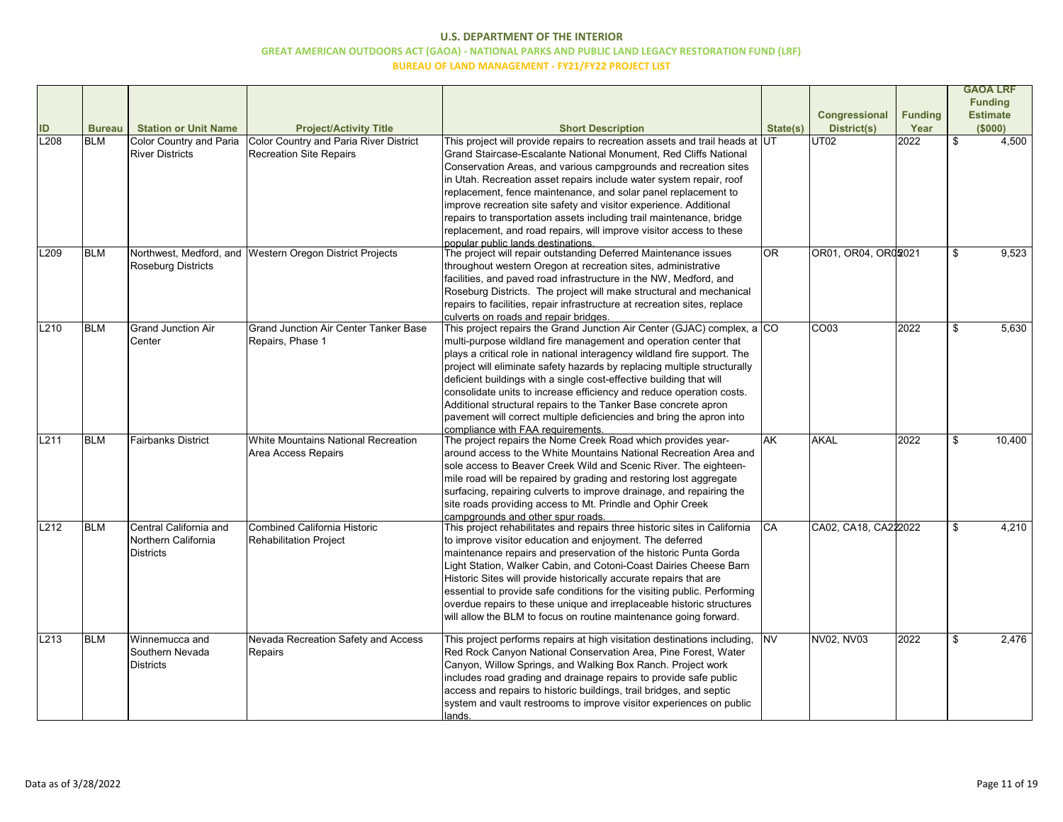|      |               |                                |                                                          |                                                                              |           |                      |                |                | <b>GAOA LRF</b> |
|------|---------------|--------------------------------|----------------------------------------------------------|------------------------------------------------------------------------------|-----------|----------------------|----------------|----------------|-----------------|
|      |               |                                |                                                          |                                                                              |           |                      |                |                | <b>Funding</b>  |
|      |               |                                |                                                          |                                                                              |           | Congressional        | <b>Funding</b> |                | <b>Estimate</b> |
|      | <b>Bureau</b> | <b>Station or Unit Name</b>    | <b>Project/Activity Title</b>                            | <b>Short Description</b>                                                     | State(s)  | <b>District(s)</b>   | Year           |                | (\$000)         |
| L208 | <b>BLM</b>    | <b>Color Country and Paria</b> | <b>Color Country and Paria River District</b>            | This project will provide repairs to recreation assets and trail heads at UT |           | UT <sub>02</sub>     | 2022           | $\mathfrak{F}$ | 4,500           |
|      |               | <b>River Districts</b>         | <b>Recreation Site Repairs</b>                           | Grand Staircase-Escalante National Monument, Red Cliffs National             |           |                      |                |                |                 |
|      |               |                                |                                                          | Conservation Areas, and various campgrounds and recreation sites             |           |                      |                |                |                 |
|      |               |                                |                                                          | in Utah. Recreation asset repairs include water system repair, roof          |           |                      |                |                |                 |
|      |               |                                |                                                          | replacement, fence maintenance, and solar panel replacement to               |           |                      |                |                |                 |
|      |               |                                |                                                          | improve recreation site safety and visitor experience. Additional            |           |                      |                |                |                 |
|      |               |                                |                                                          | repairs to transportation assets including trail maintenance, bridge         |           |                      |                |                |                 |
|      |               |                                |                                                          | replacement, and road repairs, will improve visitor access to these          |           |                      |                |                |                 |
|      |               |                                |                                                          | popular public lands destinations.                                           |           |                      |                |                |                 |
| L209 | <b>BLM</b>    |                                | Northwest, Medford, and Western Oregon District Projects | The project will repair outstanding Deferred Maintenance issues              | lor       | OR01, OR04, OR02021  |                | \$             | 9,523           |
|      |               | <b>Roseburg Districts</b>      |                                                          | throughout western Oregon at recreation sites, administrative                |           |                      |                |                |                 |
|      |               |                                |                                                          | facilities, and paved road infrastructure in the NW, Medford, and            |           |                      |                |                |                 |
|      |               |                                |                                                          | Roseburg Districts. The project will make structural and mechanical          |           |                      |                |                |                 |
|      |               |                                |                                                          | repairs to facilities, repair infrastructure at recreation sites, replace    |           |                      |                |                |                 |
|      |               |                                |                                                          | culverts on roads and repair bridges.                                        |           |                      |                |                |                 |
| L210 | <b>BLM</b>    | <b>Grand Junction Air</b>      | <b>Grand Junction Air Center Tanker Base</b>             | This project repairs the Grand Junction Air Center (GJAC) complex, a CO      |           | CO <sub>03</sub>     | 2022           | \$             | 5,630           |
|      |               | Center                         | Repairs, Phase 1                                         | multi-purpose wildland fire management and operation center that             |           |                      |                |                |                 |
|      |               |                                |                                                          | plays a critical role in national interagency wildland fire support. The     |           |                      |                |                |                 |
|      |               |                                |                                                          | project will eliminate safety hazards by replacing multiple structurally     |           |                      |                |                |                 |
|      |               |                                |                                                          | deficient buildings with a single cost-effective building that will          |           |                      |                |                |                 |
|      |               |                                |                                                          | consolidate units to increase efficiency and reduce operation costs.         |           |                      |                |                |                 |
|      |               |                                |                                                          | Additional structural repairs to the Tanker Base concrete apron              |           |                      |                |                |                 |
|      |               |                                |                                                          | pavement will correct multiple deficiencies and bring the apron into         |           |                      |                |                |                 |
|      |               |                                |                                                          | compliance with FAA requirements.                                            |           |                      |                |                |                 |
| L211 | <b>BLM</b>    | <b>Fairbanks District</b>      | White Mountains National Recreation                      | The project repairs the Nome Creek Road which provides year-                 | lak       | AKAL                 | 2022           | -\$            | 10,400          |
|      |               |                                | Area Access Repairs                                      | around access to the White Mountains National Recreation Area and            |           |                      |                |                |                 |
|      |               |                                |                                                          | sole access to Beaver Creek Wild and Scenic River. The eighteen-             |           |                      |                |                |                 |
|      |               |                                |                                                          | mile road will be repaired by grading and restoring lost aggregate           |           |                      |                |                |                 |
|      |               |                                |                                                          | surfacing, repairing culverts to improve drainage, and repairing the         |           |                      |                |                |                 |
|      |               |                                |                                                          | site roads providing access to Mt. Prindle and Ophir Creek                   |           |                      |                |                |                 |
|      |               |                                |                                                          | campgrounds and other spur roads.                                            |           |                      |                |                |                 |
| L212 | <b>BLM</b>    | Central California and         | Combined California Historic                             | This project rehabilitates and repairs three historic sites in California    | ICA       | CA02, CA18, CA222022 |                | \$             | 4,210           |
|      |               | Northern California            | <b>Rehabilitation Project</b>                            | to improve visitor education and enjoyment. The deferred                     |           |                      |                |                |                 |
|      |               | <b>Districts</b>               |                                                          | maintenance repairs and preservation of the historic Punta Gorda             |           |                      |                |                |                 |
|      |               |                                |                                                          | Light Station, Walker Cabin, and Cotoni-Coast Dairies Cheese Barn            |           |                      |                |                |                 |
|      |               |                                |                                                          | Historic Sites will provide historically accurate repairs that are           |           |                      |                |                |                 |
|      |               |                                |                                                          | essential to provide safe conditions for the visiting public. Performing     |           |                      |                |                |                 |
|      |               |                                |                                                          | overdue repairs to these unique and irreplaceable historic structures        |           |                      |                |                |                 |
|      |               |                                |                                                          | will allow the BLM to focus on routine maintenance going forward.            |           |                      |                |                |                 |
|      |               |                                |                                                          |                                                                              |           |                      |                |                |                 |
| L213 | <b>BLM</b>    | Winnemucca and                 | Nevada Recreation Safety and Access                      | This project performs repairs at high visitation destinations including,     | <b>NV</b> | NV02, NV03           | 2022           | -\$            | 2,476           |
|      |               | Southern Nevada                | Repairs                                                  | Red Rock Canyon National Conservation Area, Pine Forest, Water               |           |                      |                |                |                 |
|      |               | <b>Districts</b>               |                                                          | Canyon, Willow Springs, and Walking Box Ranch. Project work                  |           |                      |                |                |                 |
|      |               |                                |                                                          | includes road grading and drainage repairs to provide safe public            |           |                      |                |                |                 |
|      |               |                                |                                                          | access and repairs to historic buildings, trail bridges, and septic          |           |                      |                |                |                 |
|      |               |                                |                                                          | system and vault restrooms to improve visitor experiences on public          |           |                      |                |                |                 |
|      |               |                                |                                                          | <u>lands.</u>                                                                |           |                      |                |                |                 |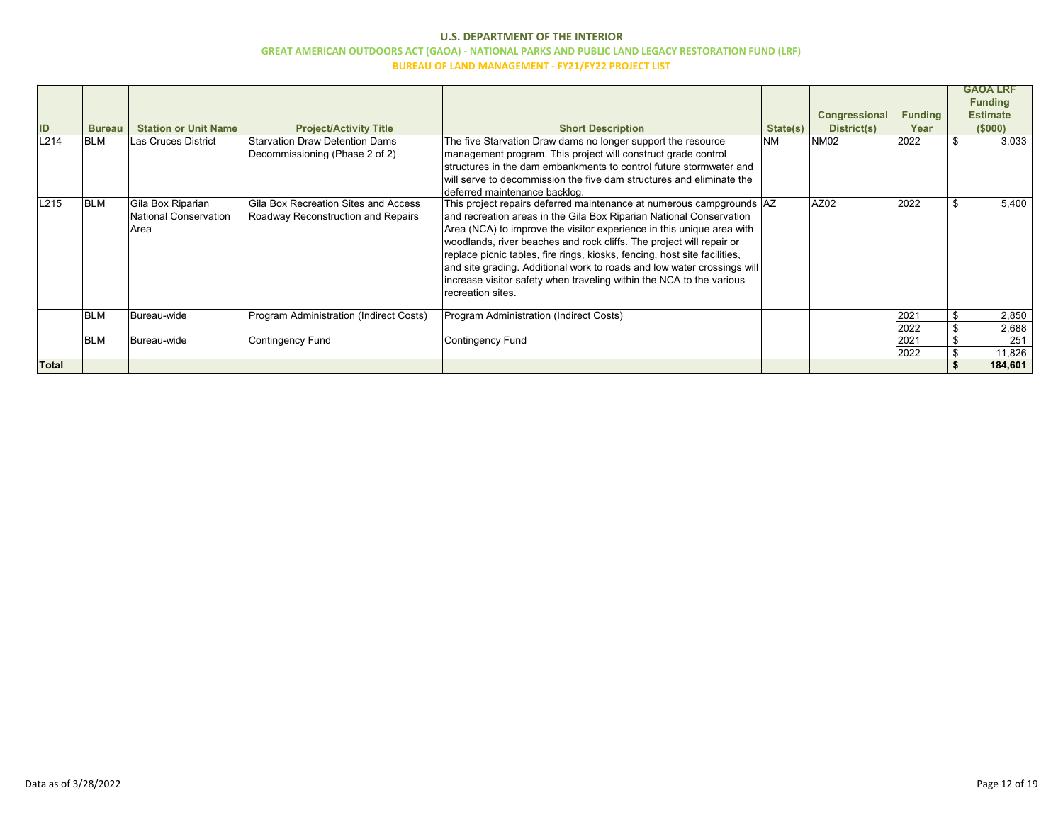| ID           | <b>Bureau</b> | <b>Station or Unit Name</b>                        | <b>Project/Activity Title</b>                                                     | <b>Short Description</b>                                                                                                                                                                                                                                                                                                                                                                                                                                                                                                                           | State(s)  | <b>Congressional</b><br>District(s) | <b>Funding</b><br>Year | <b>GAOA LRF</b><br><b>Funding</b><br><b>Estimate</b><br>(\$000) |
|--------------|---------------|----------------------------------------------------|-----------------------------------------------------------------------------------|----------------------------------------------------------------------------------------------------------------------------------------------------------------------------------------------------------------------------------------------------------------------------------------------------------------------------------------------------------------------------------------------------------------------------------------------------------------------------------------------------------------------------------------------------|-----------|-------------------------------------|------------------------|-----------------------------------------------------------------|
| L214         | <b>BLM</b>    | Las Cruces District                                | <b>Starvation Draw Detention Dams</b><br>Decommissioning (Phase 2 of 2)           | The five Starvation Draw dams no longer support the resource<br>management program. This project will construct grade control<br>structures in the dam embankments to control future stormwater and<br>will serve to decommission the five dam structures and eliminate the<br>deferred maintenance backlog.                                                                                                                                                                                                                                       | <b>NM</b> | <b>NM02</b>                         | 2022                   | 3,033                                                           |
| L215         | <b>BLM</b>    | Gila Box Riparian<br>National Conservation<br>Area | <b>Gila Box Recreation Sites and Access</b><br>Roadway Reconstruction and Repairs | This project repairs deferred maintenance at numerous campgrounds  AZ<br>and recreation areas in the Gila Box Riparian National Conservation<br>Area (NCA) to improve the visitor experience in this unique area with<br>woodlands, river beaches and rock cliffs. The project will repair or<br>replace picnic tables, fire rings, kiosks, fencing, host site facilities,<br>and site grading. Additional work to roads and low water crossings will<br>increase visitor safety when traveling within the NCA to the various<br>recreation sites. |           | AZ02                                | 2022                   | 5,400                                                           |
|              | <b>BLM</b>    | Bureau-wide                                        | Program Administration (Indirect Costs)                                           | Program Administration (Indirect Costs)                                                                                                                                                                                                                                                                                                                                                                                                                                                                                                            |           |                                     | 2021                   | 2,850                                                           |
|              |               |                                                    |                                                                                   |                                                                                                                                                                                                                                                                                                                                                                                                                                                                                                                                                    |           |                                     | 2022                   | 2,688                                                           |
|              | <b>BLM</b>    | Bureau-wide                                        | <b>Contingency Fund</b>                                                           | <b>Contingency Fund</b>                                                                                                                                                                                                                                                                                                                                                                                                                                                                                                                            |           |                                     | 2021                   | 251                                                             |
| <b>Total</b> |               |                                                    |                                                                                   |                                                                                                                                                                                                                                                                                                                                                                                                                                                                                                                                                    |           |                                     | 2022                   | 11,826<br>184,601                                               |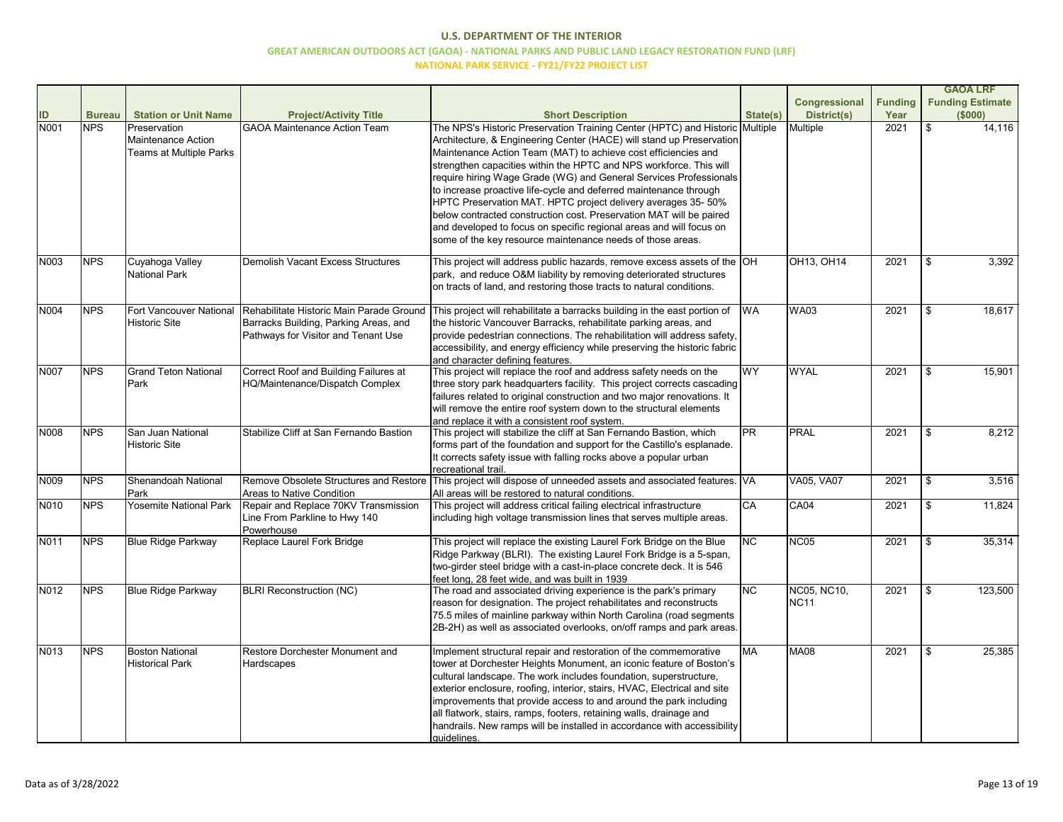|      |               |                                                                      |                                                                                                                          |                                                                                                                                                                                                                                                                                                                                                                                                                                                                                                                                                                                                                                                                                                                    |           |                                   |                |                | <b>GAOA LRF</b>         |
|------|---------------|----------------------------------------------------------------------|--------------------------------------------------------------------------------------------------------------------------|--------------------------------------------------------------------------------------------------------------------------------------------------------------------------------------------------------------------------------------------------------------------------------------------------------------------------------------------------------------------------------------------------------------------------------------------------------------------------------------------------------------------------------------------------------------------------------------------------------------------------------------------------------------------------------------------------------------------|-----------|-----------------------------------|----------------|----------------|-------------------------|
|      |               |                                                                      |                                                                                                                          |                                                                                                                                                                                                                                                                                                                                                                                                                                                                                                                                                                                                                                                                                                                    |           | <b>Congressional</b>              | <b>Funding</b> |                | <b>Funding Estimate</b> |
| ID   | <b>Bureau</b> | <b>Station or Unit Name</b>                                          | <b>Project/Activity Title</b>                                                                                            | <b>Short Description</b>                                                                                                                                                                                                                                                                                                                                                                                                                                                                                                                                                                                                                                                                                           | State(s)  | <b>District(s)</b>                | Year           |                | (\$000)                 |
| N001 | <b>NPS</b>    | Preservation<br><b>Maintenance Action</b><br>Teams at Multiple Parks | <b>GAOA Maintenance Action Team</b>                                                                                      | The NPS's Historic Preservation Training Center (HPTC) and Historic Multiple<br>Architecture, & Engineering Center (HACE) will stand up Preservation<br>Maintenance Action Team (MAT) to achieve cost efficiencies and<br>strengthen capacities within the HPTC and NPS workforce. This will<br>require hiring Wage Grade (WG) and General Services Professionals<br>to increase proactive life-cycle and deferred maintenance through<br>HPTC Preservation MAT. HPTC project delivery averages 35-50%<br>below contracted construction cost. Preservation MAT will be paired<br>and developed to focus on specific regional areas and will focus on<br>some of the key resource maintenance needs of those areas. |           | Multiple                          | 2021           | $\mathfrak{S}$ | 14,116                  |
| N003 | <b>NPS</b>    | Cuyahoga Valley<br>National Park                                     | <b>Demolish Vacant Excess Structures</b>                                                                                 | This project will address public hazards, remove excess assets of the $\vert$ OH<br>park, and reduce O&M liability by removing deteriorated structures<br>on tracts of land, and restoring those tracts to natural conditions.                                                                                                                                                                                                                                                                                                                                                                                                                                                                                     |           | OH13, OH14                        | 2021           | $\mathfrak{S}$ | 3,392                   |
| N004 | <b>NPS</b>    | Fort Vancouver National<br><b>Historic Site</b>                      | Rehabilitate Historic Main Parade Ground<br>Barracks Building, Parking Areas, and<br>Pathways for Visitor and Tenant Use | This project will rehabilitate a barracks building in the east portion of<br>the historic Vancouver Barracks, rehabilitate parking areas, and<br>provide pedestrian connections. The rehabilitation will address safety,<br>accessibility, and energy efficiency while preserving the historic fabric<br>and character defining features.                                                                                                                                                                                                                                                                                                                                                                          | <b>WA</b> | <b>WA03</b>                       | 2021           | $\mathfrak{S}$ | 18,617                  |
| N007 | <b>NPS</b>    | <b>Grand Teton National</b><br>Park                                  | Correct Roof and Building Failures at<br><b>HQ/Maintenance/Dispatch Complex</b>                                          | This project will replace the roof and address safety needs on the<br>three story park headquarters facility. This project corrects cascading<br>failures related to original construction and two major renovations. It<br>will remove the entire roof system down to the structural elements<br>and replace it with a consistent roof system.                                                                                                                                                                                                                                                                                                                                                                    | <b>WY</b> | <b>WYAL</b>                       | 2021           | $\mathfrak{S}$ | 15,901                  |
| N008 | <b>NPS</b>    | San Juan National<br><b>Historic Site</b>                            | Stabilize Cliff at San Fernando Bastion                                                                                  | This project will stabilize the cliff at San Fernando Bastion, which<br>forms part of the foundation and support for the Castillo's esplanade.<br>It corrects safety issue with falling rocks above a popular urban<br>recreational trail                                                                                                                                                                                                                                                                                                                                                                                                                                                                          | PR        | <b>PRAL</b>                       | 2021           | \$             | 8,212                   |
| N009 | <b>NPS</b>    | Shenandoah National<br>Park                                          | Remove Obsolete Structures and Restore<br>Areas to Native Condition                                                      | This project will dispose of unneeded assets and associated features. VA<br>All areas will be restored to natural conditions.                                                                                                                                                                                                                                                                                                                                                                                                                                                                                                                                                                                      |           | <b>VA05, VA07</b>                 | 2021           | $\mathfrak{P}$ | 3,516                   |
| N010 | <b>NPS</b>    | <b>Yosemite National Park</b>                                        | Repair and Replace 70KV Transmission<br>Line From Parkline to Hwy 140<br>Powerhouse                                      | This project will address critical failing electrical infrastructure<br>including high voltage transmission lines that serves multiple areas.                                                                                                                                                                                                                                                                                                                                                                                                                                                                                                                                                                      | CA        | <b>CA04</b>                       | 2021           | \$             | 11,824                  |
| N011 | <b>NPS</b>    | <b>Blue Ridge Parkway</b>                                            | Replace Laurel Fork Bridge                                                                                               | This project will replace the existing Laurel Fork Bridge on the Blue<br>Ridge Parkway (BLRI). The existing Laurel Fork Bridge is a 5-span,<br>two-girder steel bridge with a cast-in-place concrete deck. It is 546<br>feet long, 28 feet wide, and was built in 1939                                                                                                                                                                                                                                                                                                                                                                                                                                             | <b>NC</b> | <b>NC05</b>                       | 2021           | $\mathfrak{S}$ | 35,314                  |
| N012 | <b>NPS</b>    | <b>Blue Ridge Parkway</b>                                            | <b>BLRI Reconstruction (NC)</b>                                                                                          | The road and associated driving experience is the park's primary<br>reason for designation. The project rehabilitates and reconstructs<br>75.5 miles of mainline parkway within North Carolina (road segments<br>2B-2H) as well as associated overlooks, on/off ramps and park areas.                                                                                                                                                                                                                                                                                                                                                                                                                              | <b>NC</b> | <b>NC05, NC10,</b><br><b>NC11</b> | 2021           | \$             | 123,500                 |
| N013 | <b>NPS</b>    | <b>Boston National</b><br><b>Historical Park</b>                     | Restore Dorchester Monument and<br>Hardscapes                                                                            | Implement structural repair and restoration of the commemorative<br>tower at Dorchester Heights Monument, an iconic feature of Boston's<br>cultural landscape. The work includes foundation, superstructure,<br>exterior enclosure, roofing, interior, stairs, HVAC, Electrical and site<br>improvements that provide access to and around the park including<br>all flatwork, stairs, ramps, footers, retaining walls, drainage and<br>handrails. New ramps will be installed in accordance with accessibility<br>quidelines.                                                                                                                                                                                     | <b>MA</b> | <b>MA08</b>                       | 2021           | \$             | 25,385                  |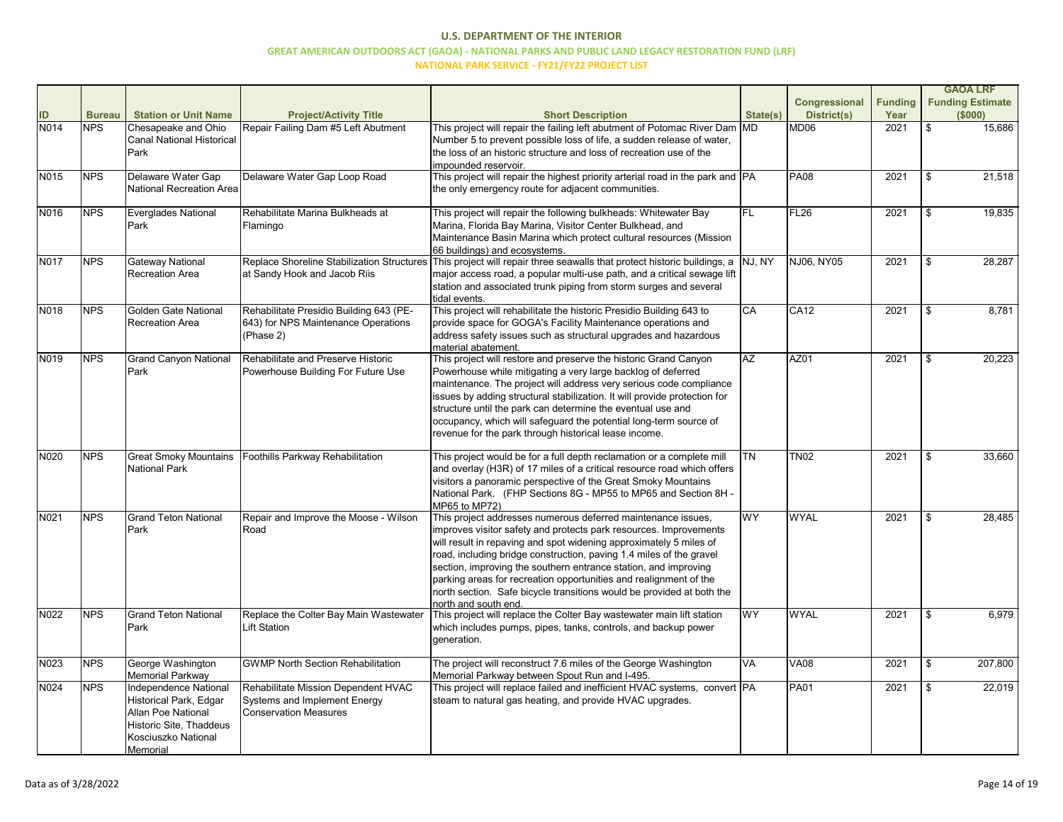|             |               |                                                                                                                                            |                                                                                                     |                                                                                                                                                                                                                                                                                                                                                                                                                                                                                                                         |                 |                      |                |               | <b>GAOA LRF</b>         |
|-------------|---------------|--------------------------------------------------------------------------------------------------------------------------------------------|-----------------------------------------------------------------------------------------------------|-------------------------------------------------------------------------------------------------------------------------------------------------------------------------------------------------------------------------------------------------------------------------------------------------------------------------------------------------------------------------------------------------------------------------------------------------------------------------------------------------------------------------|-----------------|----------------------|----------------|---------------|-------------------------|
|             |               |                                                                                                                                            |                                                                                                     |                                                                                                                                                                                                                                                                                                                                                                                                                                                                                                                         |                 | <b>Congressional</b> | <b>Funding</b> |               | <b>Funding Estimate</b> |
| ID          | <b>Bureau</b> | <b>Station or Unit Name</b>                                                                                                                | <b>Project/Activity Title</b>                                                                       | <b>Short Description</b>                                                                                                                                                                                                                                                                                                                                                                                                                                                                                                | State(s)        | <b>District(s)</b>   | Year           |               | (\$000)                 |
| <b>N014</b> | <b>NPS</b>    | Chesapeake and Ohio<br><b>Canal National Historical</b><br>Park                                                                            | Repair Failing Dam #5 Left Abutment                                                                 | This project will repair the failing left abutment of Potomac River Dam MD<br>Number 5 to prevent possible loss of life, a sudden release of water,<br>the loss of an historic structure and loss of recreation use of the<br>impounded reservoir.                                                                                                                                                                                                                                                                      |                 | MD <sub>06</sub>     | 2021           |               | 15,686                  |
| N015        | <b>NPS</b>    | Delaware Water Gap<br>National Recreation Area                                                                                             | Delaware Water Gap Loop Road                                                                        | This project will repair the highest priority arterial road in the park and PA<br>the only emergency route for adjacent communities.                                                                                                                                                                                                                                                                                                                                                                                    |                 | <b>PA08</b>          | 2021           | \$            | 21,518                  |
| N016        | <b>NPS</b>    | Everglades National<br><b>Park</b>                                                                                                         | Rehabilitate Marina Bulkheads at<br>Flamingo                                                        | This project will repair the following bulkheads: Whitewater Bay<br>Marina, Florida Bay Marina, Visitor Center Bulkhead, and<br>Maintenance Basin Marina which protect cultural resources (Mission<br>66 buildings) and ecosystems.                                                                                                                                                                                                                                                                                     | <b>FL</b>       | <b>FL26</b>          | 2021           | \$            | 19,835                  |
| N017        | <b>NPS</b>    | <b>Gateway National</b><br>Recreation Area                                                                                                 | at Sandy Hook and Jacob Riis                                                                        | Replace Shoreline Stabilization Structures This project will repair three seawalls that protect historic buildings, a<br>major access road, a popular multi-use path, and a critical sewage lift<br>station and associated trunk piping from storm surges and several<br>tidal events.                                                                                                                                                                                                                                  | NJ, NY          | NJ06, NY05           | 2021           | \$            | 28,287                  |
| N018        | <b>NPS</b>    | Golden Gate National<br><b>Recreation Area</b>                                                                                             | Rehabilitate Presidio Building 643 (PE-<br>643) for NPS Maintenance Operations<br>(Phase 2)         | This project will rehabilitate the historic Presidio Building 643 to<br>provide space for GOGA's Facility Maintenance operations and<br>address safety issues such as structural upgrades and hazardous<br>material abatement.                                                                                                                                                                                                                                                                                          | $\overline{CA}$ | <b>CA12</b>          | 2021           | \$            | 8,781                   |
| N019        | <b>NPS</b>    | <b>Grand Canyon National</b><br>Park                                                                                                       | Rehabilitate and Preserve Historic<br>Powerhouse Building For Future Use                            | This project will restore and preserve the historic Grand Canyon<br>Powerhouse while mitigating a very large backlog of deferred<br>maintenance. The project will address very serious code compliance<br>issues by adding structural stabilization. It will provide protection for<br>structure until the park can determine the eventual use and<br>occupancy, which will safeguard the potential long-term source of<br>revenue for the park through historical lease income.                                        | AZ              | AZ01                 | 2021           | \$            | 20,223                  |
| N020        | <b>NPS</b>    | <b>Great Smoky Mountains</b><br>National Park                                                                                              | Foothills Parkway Rehabilitation                                                                    | This project would be for a full depth reclamation or a complete mill<br>and overlay (H3R) of 17 miles of a critical resource road which offers<br>visitors a panoramic perspective of the Great Smoky Mountains<br>National Park. (FHP Sections 8G - MP55 to MP65 and Section 8H -<br>MP65 to MP72)                                                                                                                                                                                                                    | $\overline{TN}$ | <b>TN02</b>          | 2021           |               | 33,660                  |
| N021        | <b>NPS</b>    | <b>Grand Teton National</b><br>Park                                                                                                        | Repair and Improve the Moose - Wilson<br>Road                                                       | This project addresses numerous deferred maintenance issues,<br>improves visitor safety and protects park resources. Improvements<br>will result in repaving and spot widening approximately 5 miles of<br>road, including bridge construction, paving 1.4 miles of the gravel<br>section, improving the southern entrance station, and improving<br>parking areas for recreation opportunities and realignment of the<br>north section. Safe bicycle transitions would be provided at both the<br>north and south end. | <b>WY</b>       | <b>WYAL</b>          | 2021           | \$            | 28,485                  |
| N022        | <b>NPS</b>    | <b>Grand Teton National</b><br>Park                                                                                                        | Replace the Colter Bay Main Wastewater<br><b>Lift Station</b>                                       | This project will replace the Colter Bay wastewater main lift station<br>which includes pumps, pipes, tanks, controls, and backup power<br>generation.                                                                                                                                                                                                                                                                                                                                                                  | <b>WY</b>       | <b>WYAL</b>          | 2021           | $\frac{1}{2}$ | 6,979                   |
| N023        | <b>NPS</b>    | George Washington<br>Memorial Parkway                                                                                                      | <b>GWMP North Section Rehabilitation</b>                                                            | The project will reconstruct 7.6 miles of the George Washington<br>Memorial Parkway between Spout Run and I-495.                                                                                                                                                                                                                                                                                                                                                                                                        | VA              | <b>VA08</b>          | 2021           |               | 207,800                 |
| N024        | <b>NPS</b>    | Independence National<br>Historical Park, Edgar<br><b>Allan Poe National</b><br>Historic Site, Thaddeus<br>Kosciuszko National<br>Memorial | Rehabilitate Mission Dependent HVAC<br>Systems and Implement Energy<br><b>Conservation Measures</b> | This project will replace failed and inefficient HVAC systems, convert PA<br>steam to natural gas heating, and provide HVAC upgrades.                                                                                                                                                                                                                                                                                                                                                                                   |                 | <b>PA01</b>          | 2021           |               | 22,019                  |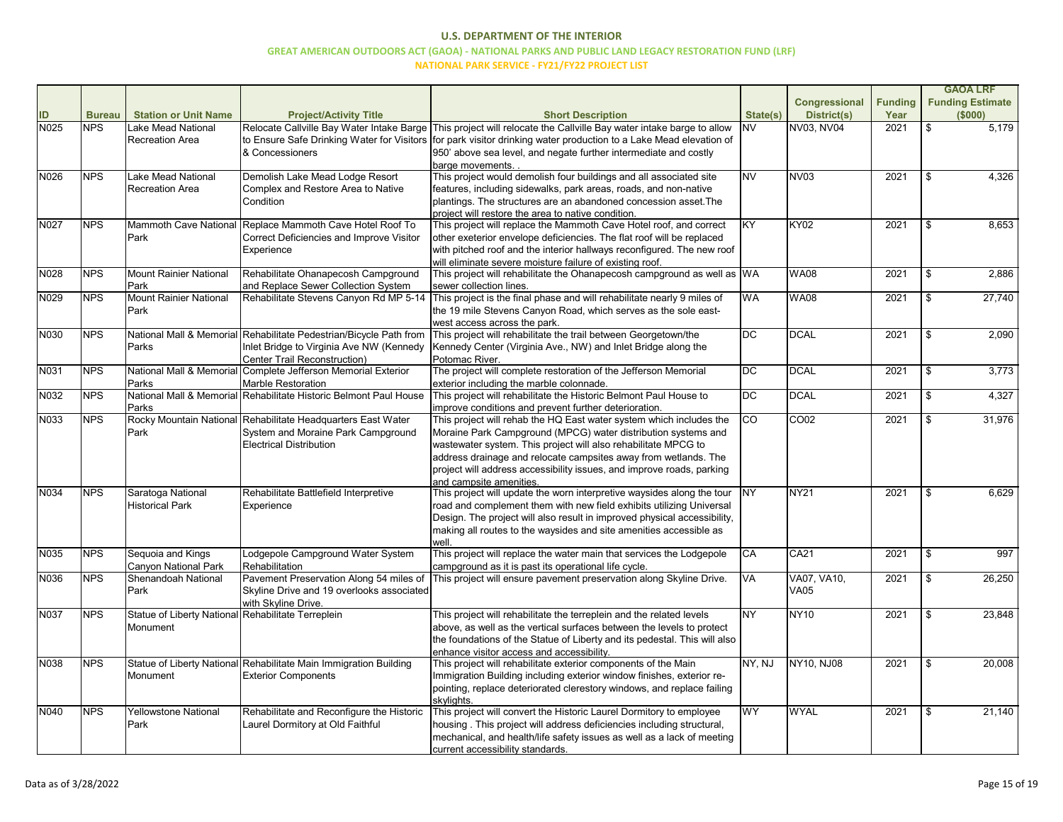|             |               |                                                    |                                                                                         |                                                                                                               |                 |                    |                |                           | <b>GAOA LRF</b>         |
|-------------|---------------|----------------------------------------------------|-----------------------------------------------------------------------------------------|---------------------------------------------------------------------------------------------------------------|-----------------|--------------------|----------------|---------------------------|-------------------------|
|             |               |                                                    |                                                                                         |                                                                                                               |                 | Congressional      | <b>Funding</b> |                           | <b>Funding Estimate</b> |
| ID          | <b>Bureau</b> | <b>Station or Unit Name</b>                        | <b>Project/Activity Title</b>                                                           | <b>Short Description</b>                                                                                      | State(s)        | <b>District(s)</b> | Year           |                           | (\$000)                 |
| N025        | <b>NPS</b>    | Lake Mead National                                 | Relocate Callville Bay Water Intake Barge                                               | This project will relocate the Callville Bay water intake barge to allow                                      | <b>NV</b>       | NV03, NV04         | 2021           | $\frac{1}{2}$             | 5,179                   |
|             |               | <b>Recreation Area</b>                             | to Ensure Safe Drinking Water for Visitors                                              | for park visitor drinking water production to a Lake Mead elevation of                                        |                 |                    |                |                           |                         |
|             |               |                                                    | & Concessioners                                                                         | 950' above sea level, and negate further intermediate and costly                                              |                 |                    |                |                           |                         |
|             |               |                                                    |                                                                                         | barge movements.                                                                                              |                 |                    |                |                           |                         |
| N026        | <b>NPS</b>    | Lake Mead National                                 | Demolish Lake Mead Lodge Resort                                                         | This project would demolish four buildings and all associated site                                            | <b>NV</b>       | <b>NV03</b>        | 2021           | \$                        | 4,326                   |
|             |               | Recreation Area                                    | Complex and Restore Area to Native                                                      | features, including sidewalks, park areas, roads, and non-native                                              |                 |                    |                |                           |                         |
|             |               |                                                    | Condition                                                                               | plantings. The structures are an abandoned concession asset. The                                              |                 |                    |                |                           |                         |
|             |               |                                                    |                                                                                         | project will restore the area to native condition.                                                            |                 |                    |                |                           |                         |
| N027        | <b>NPS</b>    |                                                    | Mammoth Cave National Replace Mammoth Cave Hotel Roof To                                | This project will replace the Mammoth Cave Hotel roof, and correct                                            | <b>KY</b>       | <b>KY02</b>        | 2021           | \$                        | 8,653                   |
|             |               | Park                                               | <b>Correct Deficiencies and Improve Visitor</b>                                         | other exeterior envelope deficiencies. The flat roof will be replaced                                         |                 |                    |                |                           |                         |
|             |               |                                                    | Experience                                                                              | with pitched roof and the interior hallways reconfigured. The new roof                                        |                 |                    |                |                           |                         |
|             |               |                                                    |                                                                                         | will eliminate severe moisture failure of existing roof.                                                      |                 |                    |                |                           |                         |
| N028        | <b>NPS</b>    | <b>Mount Rainier National</b>                      | Rehabilitate Ohanapecosh Campground                                                     | This project will rehabilitate the Ohanapecosh campground as well as $ WA $                                   |                 | <b>WA08</b>        | 2021           | \$                        | 2,886                   |
|             |               | Park                                               | and Replace Sewer Collection System                                                     | sewer collection lines.                                                                                       |                 |                    |                |                           |                         |
| N029        | <b>NPS</b>    | <b>Mount Rainier National</b>                      | Rehabilitate Stevens Canyon Rd MP 5-14                                                  | This project is the final phase and will rehabilitate nearly 9 miles of                                       | <b>WA</b>       | <b>WA08</b>        | 2021           | $\$\$                     | 27,740                  |
|             |               | Park                                               |                                                                                         | the 19 mile Stevens Canyon Road, which serves as the sole east-                                               |                 |                    |                |                           |                         |
|             |               |                                                    |                                                                                         | west access across the park.                                                                                  |                 |                    |                |                           |                         |
| N030        | <b>NPS</b>    |                                                    | National Mall & Memorial Rehabilitate Pedestrian/Bicycle Path from                      | This project will rehabilitate the trail between Georgetown/the                                               | <b>DC</b>       | <b>DCAL</b>        | 2021           | $\sqrt[6]{2}$             | 2,090                   |
|             |               | Parks                                              | Inlet Bridge to Virginia Ave NW (Kennedy                                                | Kennedy Center (Virginia Ave., NW) and Inlet Bridge along the                                                 |                 |                    |                |                           |                         |
|             |               |                                                    | Center Trail Reconstruction)                                                            | Potomac River.                                                                                                |                 |                    |                |                           |                         |
| N031        | <b>NPS</b>    |                                                    | National Mall & Memorial Complete Jefferson Memorial Exterior                           | The project will complete restoration of the Jefferson Memorial                                               | DC              | <b>DCAL</b>        | 2021           | \$                        | 3,773                   |
| N032        | <b>NPS</b>    | Parks                                              | Marble Restoration<br>National Mall & Memorial Rehabilitate Historic Belmont Paul House | exterior including the marble colonnade.<br>This project will rehabilitate the Historic Belmont Paul House to | <b>DC</b>       | <b>DCAL</b>        | 2021           | \$                        | 4,327                   |
|             |               | Parks                                              |                                                                                         | improve conditions and prevent further deterioration.                                                         |                 |                    |                |                           |                         |
| N033        | <b>NPS</b>    |                                                    | Rocky Mountain National Rehabilitate Headquarters East Water                            | This project will rehab the HQ East water system which includes the                                           | $\overline{CO}$ | <b>CO02</b>        | 2021           | $\boldsymbol{\mathsf{S}}$ | 31,976                  |
|             |               | Park                                               | System and Moraine Park Campground                                                      | Moraine Park Campground (MPCG) water distribution systems and                                                 |                 |                    |                |                           |                         |
|             |               |                                                    | <b>Electrical Distribution</b>                                                          | wastewater system. This project will also rehabilitate MPCG to                                                |                 |                    |                |                           |                         |
|             |               |                                                    |                                                                                         | address drainage and relocate campsites away from wetlands. The                                               |                 |                    |                |                           |                         |
|             |               |                                                    |                                                                                         | project will address accessibility issues, and improve roads, parking                                         |                 |                    |                |                           |                         |
|             |               |                                                    |                                                                                         | and campsite amenities.                                                                                       |                 |                    |                |                           |                         |
| N034        | <b>NPS</b>    | Saratoga National                                  | Rehabilitate Battlefield Interpretive                                                   | This project will update the worn interpretive waysides along the tour                                        | <b>NY</b>       | <b>NY21</b>        | 2021           | \$                        | 6,629                   |
|             |               | <b>Historical Park</b>                             | Experience                                                                              | road and complement them with new field exhibits utilizing Universal                                          |                 |                    |                |                           |                         |
|             |               |                                                    |                                                                                         | Design. The project will also result in improved physical accessibility,                                      |                 |                    |                |                           |                         |
|             |               |                                                    |                                                                                         | making all routes to the waysides and site amenities accessible as                                            |                 |                    |                |                           |                         |
|             |               |                                                    |                                                                                         | well                                                                                                          |                 |                    |                |                           |                         |
| N035        | <b>NPS</b>    | Sequoia and Kings                                  | Lodgepole Campground Water System                                                       | This project will replace the water main that services the Lodgepole                                          | CA              | <b>CA21</b>        | 2021           | $\frac{1}{2}$             | 997                     |
|             |               | Canyon National Park                               | Rehabilitation                                                                          | campground as it is past its operational life cycle.                                                          |                 |                    |                |                           |                         |
| N036        | <b>NPS</b>    | Shenandoah National                                | Pavement Preservation Along 54 miles of                                                 | This project will ensure pavement preservation along Skyline Drive.                                           | VA              | VA07, VA10,        | 2021           | $\frac{1}{2}$             | 26,250                  |
|             |               | Park                                               | Skyline Drive and 19 overlooks associated                                               |                                                                                                               |                 | <b>VA05</b>        |                |                           |                         |
|             |               |                                                    | with Skyline Drive.                                                                     |                                                                                                               |                 |                    |                |                           |                         |
| <b>N037</b> | <b>NPS</b>    | Statue of Liberty National Rehabilitate Terreplein |                                                                                         | This project will rehabilitate the terreplein and the related levels                                          | <b>NY</b>       | <b>NY10</b>        | 2021           | $\$\$                     | 23,848                  |
|             |               | Monument                                           |                                                                                         | above, as well as the vertical surfaces between the levels to protect                                         |                 |                    |                |                           |                         |
|             |               |                                                    |                                                                                         | the foundations of the Statue of Liberty and its pedestal. This will also                                     |                 |                    |                |                           |                         |
|             |               |                                                    |                                                                                         | enhance visitor access and accessibility.                                                                     |                 |                    |                |                           |                         |
| N038        | <b>NPS</b>    |                                                    | Statue of Liberty National Rehabilitate Main Immigration Building                       | This project will rehabilitate exterior components of the Main                                                | NY, NJ          | NY10, NJ08         | 2021           | $\$\$                     | 20,008                  |
|             |               | Monument                                           | <b>Exterior Components</b>                                                              | Immigration Building including exterior window finishes, exterior re-                                         |                 |                    |                |                           |                         |
|             |               |                                                    |                                                                                         | pointing, replace deteriorated clerestory windows, and replace failing                                        |                 |                    |                |                           |                         |
|             |               |                                                    |                                                                                         | skylights.                                                                                                    |                 |                    |                |                           |                         |
| N040        | <b>NPS</b>    | Yellowstone National                               | Rehabilitate and Reconfigure the Historic                                               | This project will convert the Historic Laurel Dormitory to employee                                           | <b>WY</b>       | <b>WYAL</b>        | 2021           | $\$\$                     | 21,140                  |
|             |               | Park                                               | Laurel Dormitory at Old Faithful                                                        | housing. This project will address deficiencies including structural,                                         |                 |                    |                |                           |                         |
|             |               |                                                    |                                                                                         | mechanical, and health/life safety issues as well as a lack of meeting                                        |                 |                    |                |                           |                         |
|             |               |                                                    |                                                                                         | current accessibility standards.                                                                              |                 |                    |                |                           |                         |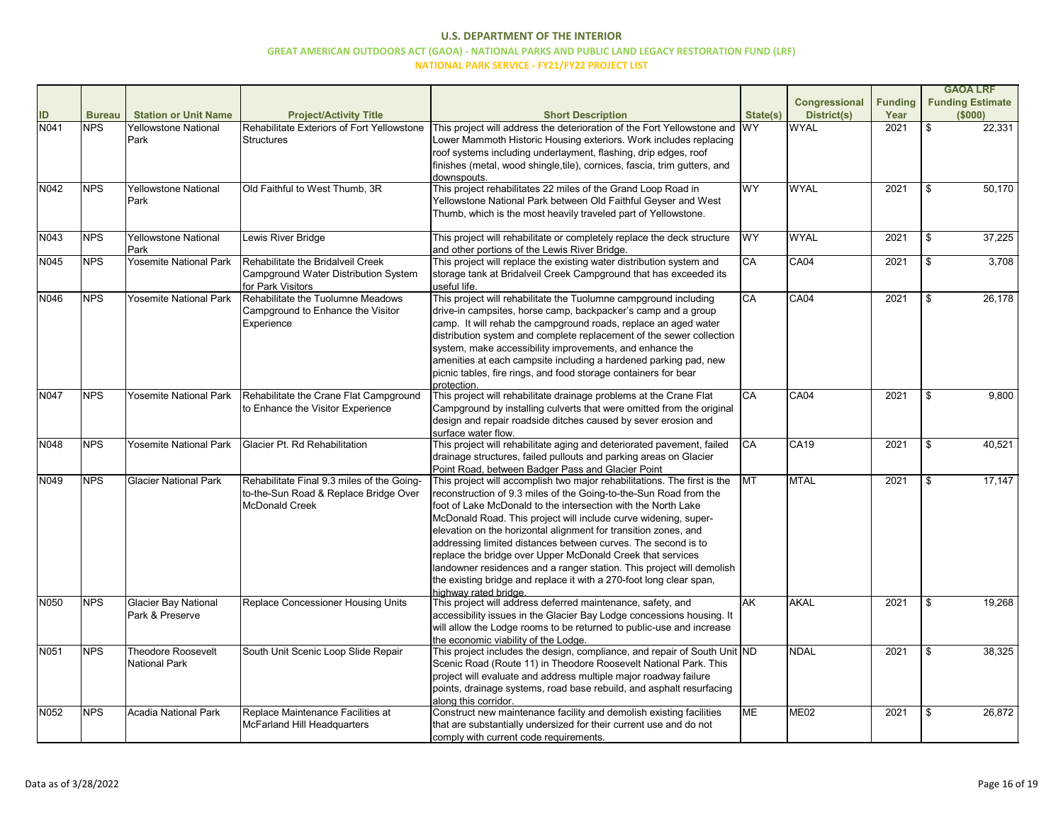|      |               |                               |                                                        |                                                                                              |           |                    |                | <b>GAOA LRF</b>         |
|------|---------------|-------------------------------|--------------------------------------------------------|----------------------------------------------------------------------------------------------|-----------|--------------------|----------------|-------------------------|
|      |               |                               |                                                        |                                                                                              |           | Congressional      | <b>Funding</b> | <b>Funding Estimate</b> |
| ID   | <b>Bureau</b> | <b>Station or Unit Name</b>   | <b>Project/Activity Title</b>                          | <b>Short Description</b>                                                                     | State(s)  | <b>District(s)</b> | Year           | (\$000)                 |
| N041 | <b>NPS</b>    | <b>Yellowstone National</b>   | Rehabilitate Exteriors of Fort Yellowstone             | This project will address the deterioration of the Fort Yellowstone and WY                   |           | <b>WYAL</b>        | 2021           | \$<br>22,331            |
|      |               | Park                          | Structures                                             | Lower Mammoth Historic Housing exteriors. Work includes replacing                            |           |                    |                |                         |
|      |               |                               |                                                        | roof systems including underlayment, flashing, drip edges, roof                              |           |                    |                |                         |
|      |               |                               |                                                        | finishes (metal, wood shingle, tile), cornices, fascia, trim gutters, and                    |           |                    |                |                         |
|      |               |                               |                                                        | downspouts.                                                                                  |           |                    |                |                         |
| N042 | <b>NPS</b>    | <b>Yellowstone National</b>   | Old Faithful to West Thumb, 3R                         | This project rehabilitates 22 miles of the Grand Loop Road in                                | <b>WY</b> | <b>WYAL</b>        | 2021           | \$<br>50,170            |
|      |               | Park                          |                                                        | Yellowstone National Park between Old Faithful Geyser and West                               |           |                    |                |                         |
|      |               |                               |                                                        | Thumb, which is the most heavily traveled part of Yellowstone.                               |           |                    |                |                         |
| N043 | <b>NPS</b>    | <b>Yellowstone National</b>   | Lewis River Bridge                                     | This project will rehabilitate or completely replace the deck structure                      | <b>WY</b> | <b>WYAL</b>        | 2021           | \$<br>37,225            |
|      |               | Park                          |                                                        | and other portions of the Lewis River Bridge.                                                |           |                    |                |                         |
| N045 | <b>NPS</b>    | <b>Yosemite National Park</b> | Rehabilitate the Bridalveil Creek                      | This project will replace the existing water distribution system and                         | <b>CA</b> | <b>CA04</b>        | 2021           | \$<br>3,708             |
|      |               |                               | Campground Water Distribution System                   | storage tank at Bridalveil Creek Campground that has exceeded its<br>useful life.            |           |                    |                |                         |
| N046 | <b>NPS</b>    | <b>Yosemite National Park</b> | for Park Visitors<br>Rehabilitate the Tuolumne Meadows | This project will rehabilitate the Tuolumne campground including                             | <b>CA</b> | <b>CA04</b>        | 2021           | \$<br>26,178            |
|      |               |                               | Campground to Enhance the Visitor                      | drive-in campsites, horse camp, backpacker's camp and a group                                |           |                    |                |                         |
|      |               |                               | Experience                                             | camp. It will rehab the campground roads, replace an aged water                              |           |                    |                |                         |
|      |               |                               |                                                        | distribution system and complete replacement of the sewer collection                         |           |                    |                |                         |
|      |               |                               |                                                        | system, make accessibility improvements, and enhance the                                     |           |                    |                |                         |
|      |               |                               |                                                        | amenities at each campsite including a hardened parking pad, new                             |           |                    |                |                         |
|      |               |                               |                                                        | picnic tables, fire rings, and food storage containers for bear                              |           |                    |                |                         |
|      |               |                               |                                                        | protection.                                                                                  |           |                    |                |                         |
| N047 | <b>NPS</b>    | Yosemite National Park        | Rehabilitate the Crane Flat Campground                 | This project will rehabilitate drainage problems at the Crane Flat                           | <b>CA</b> | <b>CA04</b>        | 2021           | \$<br>9,800             |
|      |               |                               | to Enhance the Visitor Experience                      | Campground by installing culverts that were omitted from the original                        |           |                    |                |                         |
|      |               |                               |                                                        | design and repair roadside ditches caused by sever erosion and                               |           |                    |                |                         |
|      |               |                               |                                                        | surface water flow.                                                                          |           |                    |                |                         |
| N048 | <b>NPS</b>    | <b>Yosemite National Park</b> | Glacier Pt. Rd Rehabilitation                          | This project will rehabilitate aging and deteriorated pavement, failed                       | <b>CA</b> | <b>CA19</b>        | 2021           | 40,521                  |
|      |               |                               |                                                        | drainage structures, failed pullouts and parking areas on Glacier                            |           |                    |                |                         |
|      |               |                               |                                                        | Point Road, between Badger Pass and Glacier Point                                            |           |                    |                |                         |
| N049 | <b>NPS</b>    | <b>Glacier National Park</b>  | Rehabilitate Final 9.3 miles of the Going-             | This project will accomplish two major rehabilitations. The first is the                     | <b>MT</b> | <b>MTAL</b>        | 2021           | 17,147                  |
|      |               |                               | to-the-Sun Road & Replace Bridge Over                  | reconstruction of 9.3 miles of the Going-to-the-Sun Road from the                            |           |                    |                |                         |
|      |               |                               | McDonald Creek                                         | foot of Lake McDonald to the intersection with the North Lake                                |           |                    |                |                         |
|      |               |                               |                                                        | McDonald Road. This project will include curve widening, super-                              |           |                    |                |                         |
|      |               |                               |                                                        | elevation on the horizontal alignment for transition zones, and                              |           |                    |                |                         |
|      |               |                               |                                                        | addressing limited distances between curves. The second is to                                |           |                    |                |                         |
|      |               |                               |                                                        | replace the bridge over Upper McDonald Creek that services                                   |           |                    |                |                         |
|      |               |                               |                                                        | landowner residences and a ranger station. This project will demolish                        |           |                    |                |                         |
|      |               |                               |                                                        | the existing bridge and replace it with a 270-foot long clear span,<br>highway rated bridge. |           |                    |                |                         |
| N050 | <b>NPS</b>    | <b>Glacier Bay National</b>   | Replace Concessioner Housing Units                     | This project will address deferred maintenance, safety, and                                  | <b>AK</b> | <b>AKAL</b>        | 2021           | \$<br>19,268            |
|      |               | Park & Preserve               |                                                        | accessibility issues in the Glacier Bay Lodge concessions housing. It                        |           |                    |                |                         |
|      |               |                               |                                                        | will allow the Lodge rooms to be returned to public-use and increase                         |           |                    |                |                         |
|      |               |                               |                                                        | the economic viability of the Lodge.                                                         |           |                    |                |                         |
| N051 | <b>NPS</b>    | <b>Theodore Roosevelt</b>     | South Unit Scenic Loop Slide Repair                    | This project includes the design, compliance, and repair of South Unit ND                    |           | <b>NDAL</b>        | 2021           | 38,325                  |
|      |               | National Park                 |                                                        | Scenic Road (Route 11) in Theodore Roosevelt National Park. This                             |           |                    |                |                         |
|      |               |                               |                                                        | project will evaluate and address multiple major roadway failure                             |           |                    |                |                         |
|      |               |                               |                                                        | points, drainage systems, road base rebuild, and asphalt resurfacing                         |           |                    |                |                         |
|      |               |                               |                                                        | along this corridor.                                                                         |           |                    |                |                         |
| N052 | <b>NPS</b>    | Acadia National Park          | Replace Maintenance Facilities at                      | Construct new maintenance facility and demolish existing facilities                          | <b>ME</b> | <b>ME02</b>        | 2021           | 26,872                  |
|      |               |                               | McFarland Hill Headquarters                            | that are substantially undersized for their current use and do not                           |           |                    |                |                         |
|      |               |                               |                                                        | comply with current code requirements.                                                       |           |                    |                |                         |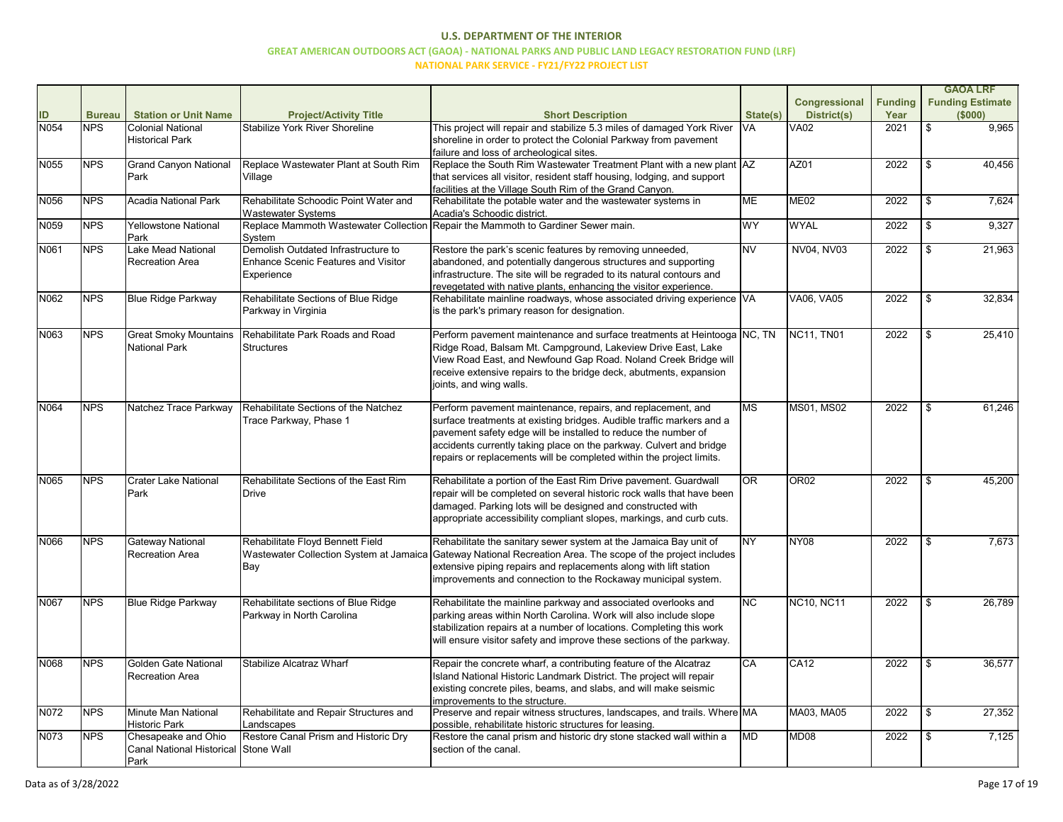|      |               |                                      |                                               |                                                                                                                                             |                        |                      |                |                            | <b>GAOA LRF</b>         |
|------|---------------|--------------------------------------|-----------------------------------------------|---------------------------------------------------------------------------------------------------------------------------------------------|------------------------|----------------------|----------------|----------------------------|-------------------------|
|      |               |                                      |                                               |                                                                                                                                             |                        | <b>Congressional</b> | <b>Funding</b> |                            | <b>Funding Estimate</b> |
| ID   | <b>Bureau</b> | <b>Station or Unit Name</b>          | <b>Project/Activity Title</b>                 | <b>Short Description</b>                                                                                                                    | State(s)               | <b>District(s)</b>   | Year           |                            | (\$000)                 |
| N054 | <b>NPS</b>    | <b>Colonial National</b>             | <b>Stabilize York River Shoreline</b>         | This project will repair and stabilize 5.3 miles of damaged York River                                                                      | <b>VA</b>              | <b>VA02</b>          | 2021           | $\boldsymbol{\mathsf{S}}$  | 9,965                   |
|      |               | <b>Historical Park</b>               |                                               | shoreline in order to protect the Colonial Parkway from pavement                                                                            |                        |                      |                |                            |                         |
|      |               |                                      |                                               | failure and loss of archeological sites.                                                                                                    |                        |                      |                |                            |                         |
| N055 | <b>NPS</b>    | <b>Grand Canyon National</b>         | Replace Wastewater Plant at South Rim         | Replace the South Rim Wastewater Treatment Plant with a new plant   AZ                                                                      |                        | AZ01                 | 2022           | $\boldsymbol{\mathsf{S}}$  | 40,456                  |
|      |               | Park                                 | Village                                       | that services all visitor, resident staff housing, lodging, and support                                                                     |                        |                      |                |                            |                         |
|      |               |                                      |                                               | facilities at the Village South Rim of the Grand Canyon.                                                                                    |                        |                      |                |                            |                         |
| N056 | <b>NPS</b>    | <b>Acadia National Park</b>          | Rehabilitate Schoodic Point Water and         | Rehabilitate the potable water and the wastewater systems in                                                                                | <b>ME</b>              | <b>ME02</b>          | 2022           | \$                         | 7,624                   |
|      |               |                                      | <b>Wastewater Systems</b>                     | Acadia's Schoodic district.                                                                                                                 |                        |                      |                |                            |                         |
| N059 | <b>NPS</b>    | <b>Yellowstone National</b>          |                                               | Replace Mammoth Wastewater Collection Repair the Mammoth to Gardiner Sewer main.                                                            | <b>WY</b>              | <b>WYAL</b>          | 2022           | $\boldsymbol{\mathcal{F}}$ | 9,327                   |
| N061 | <b>NPS</b>    | Park<br>Lake Mead National           | System<br>Demolish Outdated Infrastructure to | Restore the park's scenic features by removing unneeded,                                                                                    | <b>NV</b>              | NV04, NV03           | 2022           | $\boldsymbol{\mathcal{F}}$ | 21,963                  |
|      |               | Recreation Area                      | <b>Enhance Scenic Features and Visitor</b>    |                                                                                                                                             |                        |                      |                |                            |                         |
|      |               |                                      |                                               | abandoned, and potentially dangerous structures and supporting                                                                              |                        |                      |                |                            |                         |
|      |               |                                      | Experience                                    | infrastructure. The site will be regraded to its natural contours and                                                                       |                        |                      |                |                            |                         |
| N062 | <b>NPS</b>    | <b>Blue Ridge Parkway</b>            | Rehabilitate Sections of Blue Ridge           | revegetated with native plants, enhancing the visitor experience.<br>Rehabilitate mainline roadways, whose associated driving experience VA |                        | <b>VA06, VA05</b>    | 2022           | -\$                        | 32,834                  |
|      |               |                                      | Parkway in Virginia                           | is the park's primary reason for designation.                                                                                               |                        |                      |                |                            |                         |
|      |               |                                      |                                               |                                                                                                                                             |                        |                      |                |                            |                         |
| N063 | <b>NPS</b>    | <b>Great Smoky Mountains</b>         | Rehabilitate Park Roads and Road              | Perform pavement maintenance and surface treatments at Heintooga NC, TN                                                                     |                        | <b>NC11, TN01</b>    | 2022           | $\boldsymbol{\mathsf{s}}$  | 25,410                  |
|      |               | <b>National Park</b>                 | <b>Structures</b>                             | Ridge Road, Balsam Mt. Campground, Lakeview Drive East, Lake                                                                                |                        |                      |                |                            |                         |
|      |               |                                      |                                               | View Road East, and Newfound Gap Road. Noland Creek Bridge will                                                                             |                        |                      |                |                            |                         |
|      |               |                                      |                                               | receive extensive repairs to the bridge deck, abutments, expansion                                                                          |                        |                      |                |                            |                         |
|      |               |                                      |                                               | joints, and wing walls.                                                                                                                     |                        |                      |                |                            |                         |
|      |               |                                      |                                               |                                                                                                                                             |                        |                      |                |                            |                         |
| N064 | <b>NPS</b>    | Natchez Trace Parkway                | Rehabilitate Sections of the Natchez          | Perform pavement maintenance, repairs, and replacement, and                                                                                 | <b>MS</b>              | <b>MS01, MS02</b>    | 2022           | -\$                        | 61,246                  |
|      |               |                                      | Trace Parkway, Phase 1                        | surface treatments at existing bridges. Audible traffic markers and a                                                                       |                        |                      |                |                            |                         |
|      |               |                                      |                                               | pavement safety edge will be installed to reduce the number of                                                                              |                        |                      |                |                            |                         |
|      |               |                                      |                                               | accidents currently taking place on the parkway. Culvert and bridge                                                                         |                        |                      |                |                            |                         |
|      |               |                                      |                                               | repairs or replacements will be completed within the project limits.                                                                        |                        |                      |                |                            |                         |
|      |               |                                      |                                               |                                                                                                                                             |                        |                      |                |                            |                         |
| N065 | <b>NPS</b>    | <b>Crater Lake National</b>          | Rehabilitate Sections of the East Rim         | Rehabilitate a portion of the East Rim Drive pavement. Guardwall                                                                            | $\overline{\text{OR}}$ | OR <sub>02</sub>     | 2022           | \$                         | 45,200                  |
|      |               | Park                                 | Drive                                         | repair will be completed on several historic rock walls that have been                                                                      |                        |                      |                |                            |                         |
|      |               |                                      |                                               | damaged. Parking lots will be designed and constructed with                                                                                 |                        |                      |                |                            |                         |
|      |               |                                      |                                               | appropriate accessibility compliant slopes, markings, and curb cuts.                                                                        |                        |                      |                |                            |                         |
|      |               |                                      |                                               |                                                                                                                                             |                        |                      |                |                            |                         |
| N066 | <b>NPS</b>    | <b>Gateway National</b>              | Rehabilitate Floyd Bennett Field              | Rehabilitate the sanitary sewer system at the Jamaica Bay unit of                                                                           | <b>NY</b>              | <b>NY08</b>          | 2022           | \$                         | 7,673                   |
|      |               | Recreation Area                      | Wastewater Collection System at Jamaica       | Gateway National Recreation Area. The scope of the project includes                                                                         |                        |                      |                |                            |                         |
|      |               |                                      | Bay                                           | extensive piping repairs and replacements along with lift station                                                                           |                        |                      |                |                            |                         |
|      |               |                                      |                                               | improvements and connection to the Rockaway municipal system.                                                                               |                        |                      |                |                            |                         |
|      |               |                                      |                                               |                                                                                                                                             |                        |                      |                |                            |                         |
| N067 | <b>NPS</b>    | <b>Blue Ridge Parkway</b>            | Rehabilitate sections of Blue Ridge           | Rehabilitate the mainline parkway and associated overlooks and                                                                              | <b>NC</b>              | <b>NC10, NC11</b>    | 2022           | \$                         | 26,789                  |
|      |               |                                      | Parkway in North Carolina                     | parking areas within North Carolina. Work will also include slope                                                                           |                        |                      |                |                            |                         |
|      |               |                                      |                                               | stabilization repairs at a number of locations. Completing this work                                                                        |                        |                      |                |                            |                         |
|      |               |                                      |                                               | will ensure visitor safety and improve these sections of the parkway.                                                                       |                        |                      |                |                            |                         |
|      |               |                                      |                                               |                                                                                                                                             |                        |                      |                |                            |                         |
| N068 | <b>NPS</b>    | <b>Golden Gate National</b>          | Stabilize Alcatraz Wharf                      | Repair the concrete wharf, a contributing feature of the Alcatraz                                                                           | <b>CA</b>              | <b>CA12</b>          | 2022           | \$                         | 36,577                  |
|      |               | <b>Recreation Area</b>               |                                               | Island National Historic Landmark District. The project will repair                                                                         |                        |                      |                |                            |                         |
|      |               |                                      |                                               | existing concrete piles, beams, and slabs, and will make seismic                                                                            |                        |                      |                |                            |                         |
| N072 | <b>NPS</b>    | Minute Man National                  | Rehabilitate and Repair Structures and        | improvements to the structure.<br>Preserve and repair witness structures, landscapes, and trails. Where MA                                  |                        | MA03, MA05           | 2022           |                            | 27,352                  |
|      |               | <b>Historic Park</b>                 | Landscapes                                    | possible, rehabilitate historic structures for leasing.                                                                                     |                        |                      |                | \$                         |                         |
| N073 | <b>NPS</b>    | Chesapeake and Ohio                  | Restore Canal Prism and Historic Dry          | Restore the canal prism and historic dry stone stacked wall within a                                                                        | <b>MD</b>              | MD <sub>08</sub>     | 2022           | \$                         | 7,125                   |
|      |               | Canal National Historical Stone Wall |                                               | section of the canal.                                                                                                                       |                        |                      |                |                            |                         |
|      |               |                                      |                                               |                                                                                                                                             |                        |                      |                |                            |                         |

**Park**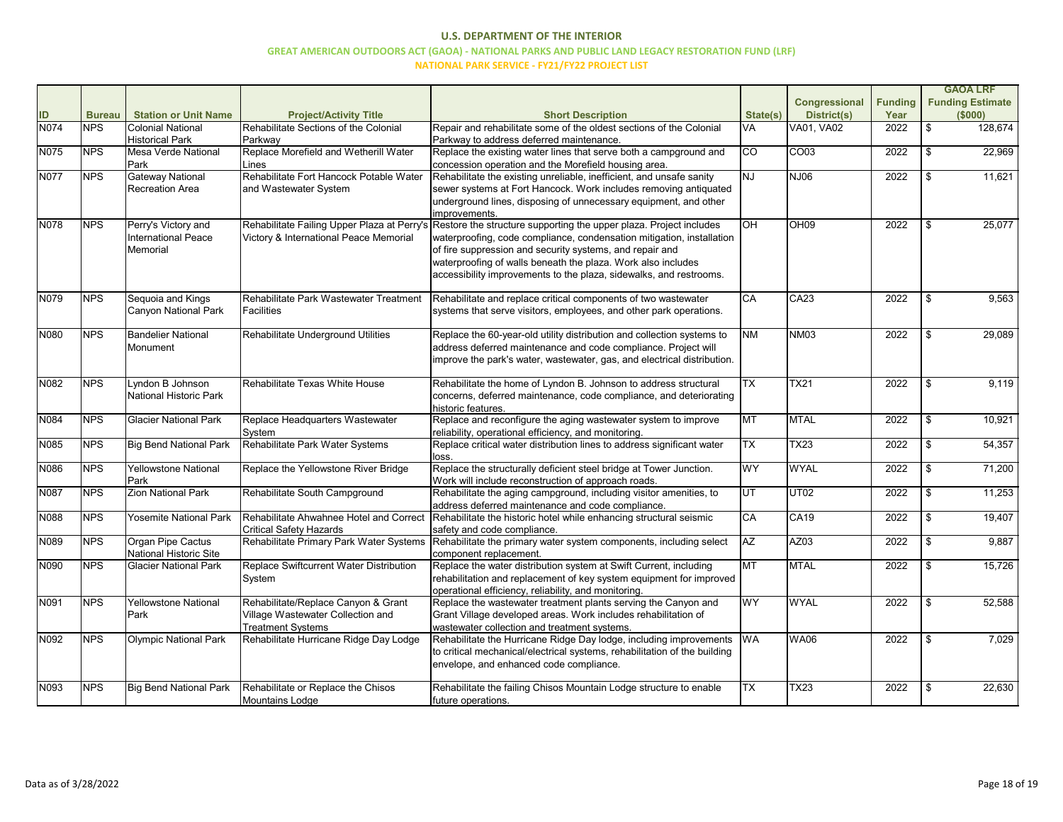|             |               |                               |                                         |                                                                                                                |                          |                      |                |     | <b>GAOA LRF</b>         |
|-------------|---------------|-------------------------------|-----------------------------------------|----------------------------------------------------------------------------------------------------------------|--------------------------|----------------------|----------------|-----|-------------------------|
|             |               |                               |                                         |                                                                                                                |                          | <b>Congressional</b> | <b>Funding</b> |     | <b>Funding Estimate</b> |
| ID          | <b>Bureau</b> | <b>Station or Unit Name</b>   | <b>Project/Activity Title</b>           | <b>Short Description</b>                                                                                       | State(s)                 | <b>District(s)</b>   | Year           |     | (\$000)                 |
| <b>N074</b> | <b>NPS</b>    | <b>Colonial National</b>      | Rehabilitate Sections of the Colonial   | Repair and rehabilitate some of the oldest sections of the Colonial                                            | VA                       | VA01, VA02           | 2022           | \$  | 128,674                 |
|             |               | <b>Historical Park</b>        | Parkway                                 | Parkway to address deferred maintenance.                                                                       |                          |                      |                |     |                         |
| N075        | <b>NPS</b>    | Mesa Verde National           | Replace Morefield and Wetherill Water   | Replace the existing water lines that serve both a campground and                                              | $\overline{C}$           | CO <sub>03</sub>     | 2022           |     | 22,969                  |
|             |               | Park                          | Lines                                   | concession operation and the Morefield housing area.                                                           |                          |                      |                |     |                         |
| <b>N077</b> | <b>NPS</b>    | <b>Gateway National</b>       | Rehabilitate Fort Hancock Potable Water | Rehabilitate the existing unreliable, inefficient, and unsafe sanity                                           | <b>NJ</b>                | NJ06                 | 2022           |     | 11,621                  |
|             |               | <b>Recreation Area</b>        | and Wastewater System                   | sewer systems at Fort Hancock. Work includes removing antiquated                                               |                          |                      |                |     |                         |
|             |               |                               |                                         | underground lines, disposing of unnecessary equipment, and other                                               |                          |                      |                |     |                         |
|             |               |                               |                                         | improvements.                                                                                                  |                          |                      |                |     |                         |
| <b>N078</b> | <b>NPS</b>    | Perry's Victory and           |                                         | Rehabilitate Failing Upper Plaza at Perry's Restore the structure supporting the upper plaza. Project includes | <b>OH</b>                | OH <sub>09</sub>     | 2022           |     | 25,077                  |
|             |               | International Peace           | Victory & International Peace Memorial  | waterproofing, code compliance, condensation mitigation, installation                                          |                          |                      |                |     |                         |
|             |               | Memorial                      |                                         | of fire suppression and security systems, and repair and                                                       |                          |                      |                |     |                         |
|             |               |                               |                                         | waterproofing of walls beneath the plaza. Work also includes                                                   |                          |                      |                |     |                         |
|             |               |                               |                                         | accessibility improvements to the plaza, sidewalks, and restrooms.                                             |                          |                      |                |     |                         |
|             |               |                               |                                         |                                                                                                                |                          |                      |                |     |                         |
| N079        | <b>NPS</b>    | Sequoia and Kings             | Rehabilitate Park Wastewater Treatment  | Rehabilitate and replace critical components of two wastewater                                                 | CA                       | CA23                 | 2022           | \$  | 9,563                   |
|             |               | <b>Canyon National Park</b>   | Facilities                              | systems that serve visitors, employees, and other park operations.                                             |                          |                      |                |     |                         |
|             |               |                               |                                         |                                                                                                                |                          |                      |                |     |                         |
| N080        | <b>NPS</b>    | <b>Bandelier National</b>     | Rehabilitate Underground Utilities      | Replace the 60-year-old utility distribution and collection systems to                                         | <b>NM</b>                | <b>NM03</b>          | 2022           | \$  | 29,089                  |
|             |               | Monument                      |                                         | address deferred maintenance and code compliance. Project will                                                 |                          |                      |                |     |                         |
|             |               |                               |                                         | improve the park's water, wastewater, gas, and electrical distribution.                                        |                          |                      |                |     |                         |
|             |               |                               |                                         |                                                                                                                |                          |                      |                |     |                         |
| N082        | <b>NPS</b>    | Lyndon B Johnson              | Rehabilitate Texas White House          | Rehabilitate the home of Lyndon B. Johnson to address structural                                               | $\overline{\mathsf{TX}}$ | <b>TX21</b>          | 2022           |     | 9,119                   |
|             |               | National Historic Park        |                                         | concerns, deferred maintenance, code compliance, and deteriorating                                             |                          |                      |                |     |                         |
|             |               |                               |                                         | historic features.                                                                                             |                          |                      |                |     |                         |
| N084        | <b>NPS</b>    | <b>Glacier National Park</b>  | Replace Headquarters Wastewater         | Replace and reconfigure the aging wastewater system to improve                                                 | <b>TM</b>                | <b>MTAL</b>          | 2022           |     | 10,921                  |
|             |               |                               | System                                  | reliability, operational efficiency, and monitoring.                                                           |                          |                      |                |     |                         |
| N085        | <b>NPS</b>    | <b>Big Bend National Park</b> | Rehabilitate Park Water Systems         | Replace critical water distribution lines to address significant water                                         | $\overline{\mathsf{TX}}$ | <b>TX23</b>          | 2022           | \$  | 54,357                  |
|             |               |                               |                                         | loss.                                                                                                          |                          |                      |                |     |                         |
| N086        | <b>NPS</b>    | <b>Yellowstone National</b>   | Replace the Yellowstone River Bridge    | Replace the structurally deficient steel bridge at Tower Junction.                                             | WY                       | <b>WYAL</b>          | 2022           |     | 71,200                  |
|             |               | Park                          |                                         | Work will include reconstruction of approach roads.                                                            |                          |                      |                |     |                         |
| <b>N087</b> | <b>NPS</b>    | <b>Zion National Park</b>     | Rehabilitate South Campground           | Rehabilitate the aging campground, including visitor amenities, to                                             | UT                       | <b>UT02</b>          | 2022           |     | 11,253                  |
|             |               |                               |                                         | address deferred maintenance and code compliance.                                                              |                          |                      |                |     |                         |
| N088        | <b>NPS</b>    | Yosemite National Park        | Rehabilitate Ahwahnee Hotel and Correct | Rehabilitate the historic hotel while enhancing structural seismic                                             | CA                       | CA <sub>19</sub>     | 2022           |     | 19,407                  |
|             |               |                               | <b>Critical Safety Hazards</b>          | safety and code compliance.                                                                                    |                          |                      |                |     |                         |
| N089        | <b>NPS</b>    | Organ Pipe Cactus             | Rehabilitate Primary Park Water Systems | Rehabilitate the primary water system components, including select                                             | <b>AZ</b>                | AZ03                 | 2022           | \$. | 9,887                   |
|             |               | National Historic Site        |                                         | component replacement.                                                                                         |                          |                      |                |     |                         |
| N090        | <b>NPS</b>    | <b>Glacier National Park</b>  | Replace Swiftcurrent Water Distribution | Replace the water distribution system at Swift Current, including                                              | <b>MT</b>                | <b>MTAL</b>          | 2022           | \$  | 15,726                  |
|             |               |                               | System                                  | rehabilitation and replacement of key system equipment for improved                                            |                          |                      |                |     |                         |
|             |               |                               |                                         | operational efficiency, reliability, and monitoring                                                            |                          |                      |                |     |                         |
| N091        | <b>NPS</b>    | <b>Yellowstone National</b>   | Rehabilitate/Replace Canyon & Grant     | Replace the wastewater treatment plants serving the Canyon and                                                 | <b>WY</b>                | <b>WYAL</b>          | 2022           | \$  | 52,588                  |
|             |               | Park                          | Village Wastewater Collection and       | Grant Village developed areas. Work includes rehabilitation of                                                 |                          |                      |                |     |                         |
|             |               |                               | <b>Treatment Systems</b>                | wastewater collection and treatment systems.                                                                   |                          |                      |                |     |                         |
| N092        | <b>NPS</b>    | Olympic National Park         | Rehabilitate Hurricane Ridge Day Lodge  | Rehabilitate the Hurricane Ridge Day lodge, including improvements                                             | <b>WA</b>                | <b>WA06</b>          | 2022           | \$  | 7,029                   |
|             |               |                               |                                         | to critical mechanical/electrical systems, rehabilitation of the building                                      |                          |                      |                |     |                         |
|             |               |                               |                                         | envelope, and enhanced code compliance.                                                                        |                          |                      |                |     |                         |
|             |               |                               |                                         |                                                                                                                |                          |                      |                |     |                         |
| N093        | <b>NPS</b>    | <b>Big Bend National Park</b> | Rehabilitate or Replace the Chisos      | Rehabilitate the failing Chisos Mountain Lodge structure to enable                                             | <b>TX</b>                | <b>TX23</b>          | 2022           | \$  | 22,630                  |
|             |               |                               | <b>Mountains Lodge</b>                  | future operations.                                                                                             |                          |                      |                |     |                         |